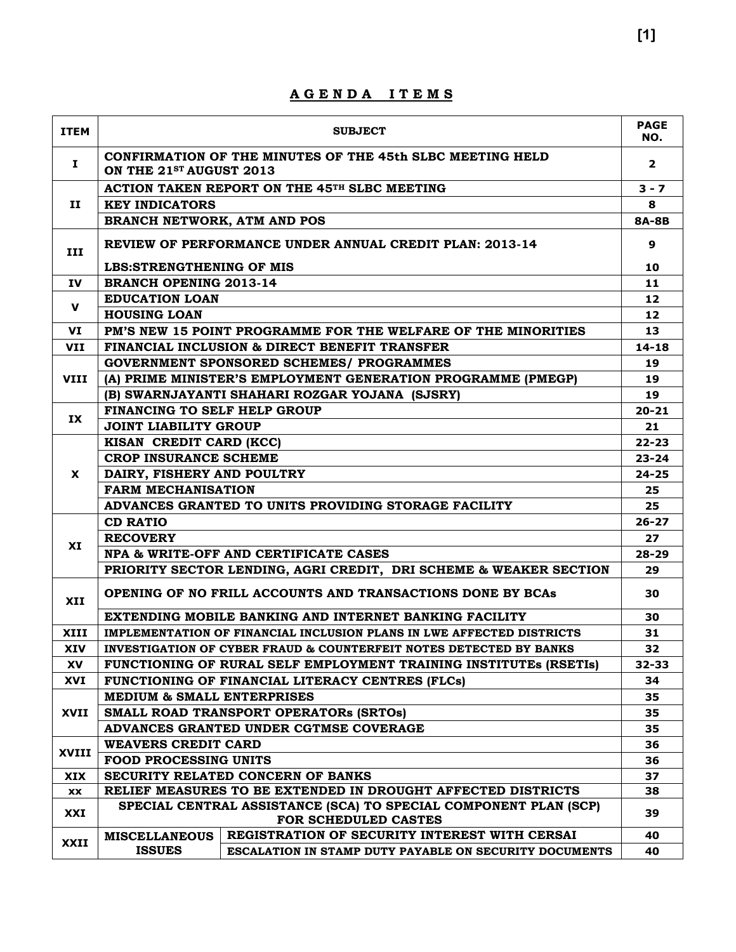| <b>ITEM</b> | <b>SUBJECT</b>                                                                                   |                                                                                          |                   |  |  |  |  |
|-------------|--------------------------------------------------------------------------------------------------|------------------------------------------------------------------------------------------|-------------------|--|--|--|--|
| Ι.          | CONFIRMATION OF THE MINUTES OF THE 45th SLBC MEETING HELD<br>ON THE 21 <sup>ST</sup> AUGUST 2013 |                                                                                          |                   |  |  |  |  |
|             |                                                                                                  | ACTION TAKEN REPORT ON THE 45 <sup>TH</sup> SLBC MEETING                                 | $3 - 7$           |  |  |  |  |
| 11          | <b>KEY INDICATORS</b>                                                                            |                                                                                          |                   |  |  |  |  |
|             | <b>BRANCH NETWORK, ATM AND POS</b>                                                               |                                                                                          |                   |  |  |  |  |
| III         | REVIEW OF PERFORMANCE UNDER ANNUAL CREDIT PLAN: 2013-14                                          |                                                                                          |                   |  |  |  |  |
|             | <b>LBS:STRENGTHENING OF MIS</b>                                                                  |                                                                                          | 10                |  |  |  |  |
| IV.         | <b>BRANCH OPENING 2013-14</b>                                                                    |                                                                                          | 11                |  |  |  |  |
| v           | <b>EDUCATION LOAN</b>                                                                            |                                                                                          | 12 <sub>2</sub>   |  |  |  |  |
|             | <b>HOUSING LOAN</b>                                                                              |                                                                                          | $12 \overline{ }$ |  |  |  |  |
| VI          |                                                                                                  | PM'S NEW 15 POINT PROGRAMME FOR THE WELFARE OF THE MINORITIES                            | 13                |  |  |  |  |
| <b>VII</b>  |                                                                                                  | FINANCIAL INCLUSION & DIRECT BENEFIT TRANSFER                                            | $14 - 18$         |  |  |  |  |
|             |                                                                                                  | <b>GOVERNMENT SPONSORED SCHEMES/ PROGRAMMES</b>                                          | 19                |  |  |  |  |
| <b>VIII</b> |                                                                                                  | (A) PRIME MINISTER'S EMPLOYMENT GENERATION PROGRAMME (PMEGP)                             | 19                |  |  |  |  |
|             |                                                                                                  | (B) SWARNJAYANTI SHAHARI ROZGAR YOJANA (SJSRY)                                           | 19                |  |  |  |  |
| IX          | FINANCING TO SELF HELP GROUP                                                                     |                                                                                          | $20 - 21$         |  |  |  |  |
|             | <b>JOINT LIABILITY GROUP</b>                                                                     |                                                                                          | 21                |  |  |  |  |
|             | KISAN CREDIT CARD (KCC)                                                                          |                                                                                          |                   |  |  |  |  |
|             | <b>CROP INSURANCE SCHEME</b>                                                                     |                                                                                          |                   |  |  |  |  |
| X           | DAIRY, FISHERY AND POULTRY                                                                       |                                                                                          |                   |  |  |  |  |
|             | <b>FARM MECHANISATION</b>                                                                        |                                                                                          |                   |  |  |  |  |
|             | ADVANCES GRANTED TO UNITS PROVIDING STORAGE FACILITY                                             |                                                                                          |                   |  |  |  |  |
|             | <b>CD RATIO</b>                                                                                  |                                                                                          |                   |  |  |  |  |
|             | <b>RECOVERY</b>                                                                                  |                                                                                          |                   |  |  |  |  |
| XI          |                                                                                                  | NPA & WRITE-OFF AND CERTIFICATE CASES                                                    | $28 - 29$         |  |  |  |  |
|             |                                                                                                  | PRIORITY SECTOR LENDING, AGRI CREDIT, DRI SCHEME & WEAKER SECTION                        | 29                |  |  |  |  |
| XII         |                                                                                                  | OPENING OF NO FRILL ACCOUNTS AND TRANSACTIONS DONE BY BCAs                               | 30                |  |  |  |  |
|             |                                                                                                  | EXTENDING MOBILE BANKING AND INTERNET BANKING FACILITY                                   | 30                |  |  |  |  |
| <b>XIII</b> |                                                                                                  | IMPLEMENTATION OF FINANCIAL INCLUSION PLANS IN LWE AFFECTED DISTRICTS                    | 31                |  |  |  |  |
| <b>XIV</b>  |                                                                                                  | <b>INVESTIGATION OF CYBER FRAUD &amp; COUNTERFEIT NOTES DETECTED BY BANKS</b>            | 32                |  |  |  |  |
| XV          |                                                                                                  | FUNCTIONING OF RURAL SELF EMPLOYMENT TRAINING INSTITUTES (RSETIS)                        | $32 - 33$         |  |  |  |  |
| XVI         |                                                                                                  | FUNCTIONING OF FINANCIAL LITERACY CENTRES (FLCs)                                         | 34                |  |  |  |  |
|             | <b>MEDIUM &amp; SMALL ENTERPRISES</b>                                                            |                                                                                          | 35                |  |  |  |  |
| XVII        |                                                                                                  | SMALL ROAD TRANSPORT OPERATORS (SRTOS)                                                   | 35                |  |  |  |  |
|             | ADVANCES GRANTED UNDER CGTMSE COVERAGE                                                           |                                                                                          |                   |  |  |  |  |
| XVIII       | <b>WEAVERS CREDIT CARD</b>                                                                       |                                                                                          | 36                |  |  |  |  |
|             | <b>FOOD PROCESSING UNITS</b>                                                                     |                                                                                          | 36                |  |  |  |  |
| XIX         |                                                                                                  | SECURITY RELATED CONCERN OF BANKS                                                        | 37                |  |  |  |  |
| <b>XX</b>   |                                                                                                  | RELIEF MEASURES TO BE EXTENDED IN DROUGHT AFFECTED DISTRICTS                             | 38                |  |  |  |  |
| XXI         |                                                                                                  | SPECIAL CENTRAL ASSISTANCE (SCA) TO SPECIAL COMPONENT PLAN (SCP)<br>FOR SCHEDULED CASTES | 39                |  |  |  |  |
|             | <b>MISCELLANEOUS</b>                                                                             | REGISTRATION OF SECURITY INTEREST WITH CERSAI                                            | 40                |  |  |  |  |
| XXII        | <b>ISSUES</b>                                                                                    | <b>ESCALATION IN STAMP DUTY PAYABLE ON SECURITY DOCUMENTS</b>                            | 40                |  |  |  |  |

**A G E N D A I T E M S**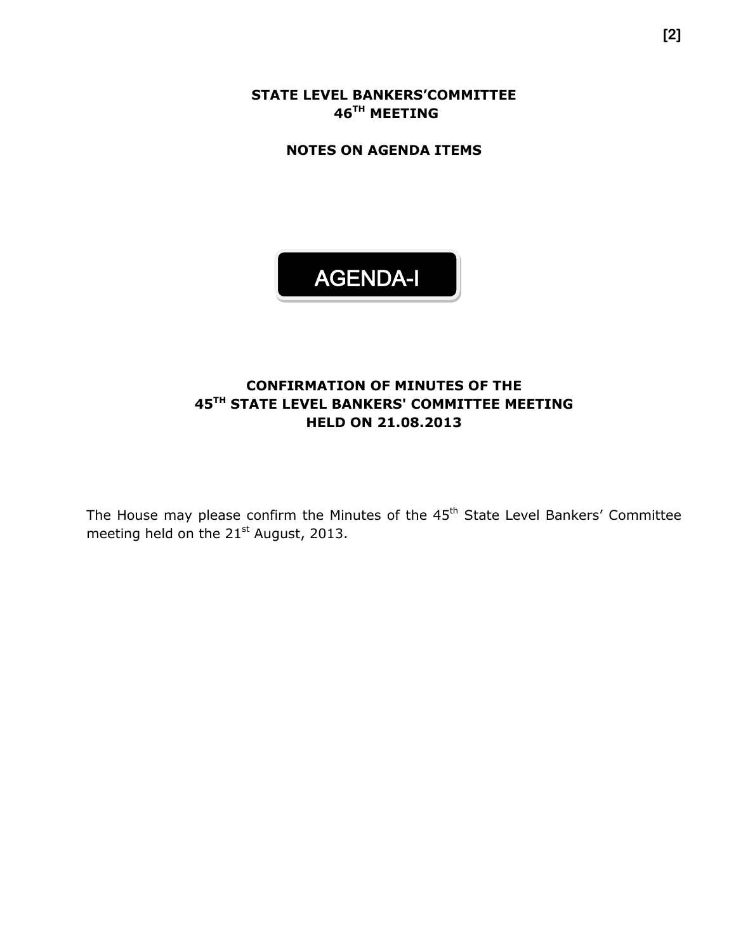**STATE LEVEL BANKERS'COMMITTEE 46 TH MEETING**

**NOTES ON AGENDA ITEMS**

# AGENDA-I

## **CONFIRMATION OF MINUTES OF THE 45 TH STATE LEVEL BANKERS' COMMITTEE MEETING HELD ON 21.08.2013**

The House may please confirm the Minutes of the 45<sup>th</sup> State Level Bankers' Committee meeting held on the 21<sup>st</sup> August, 2013.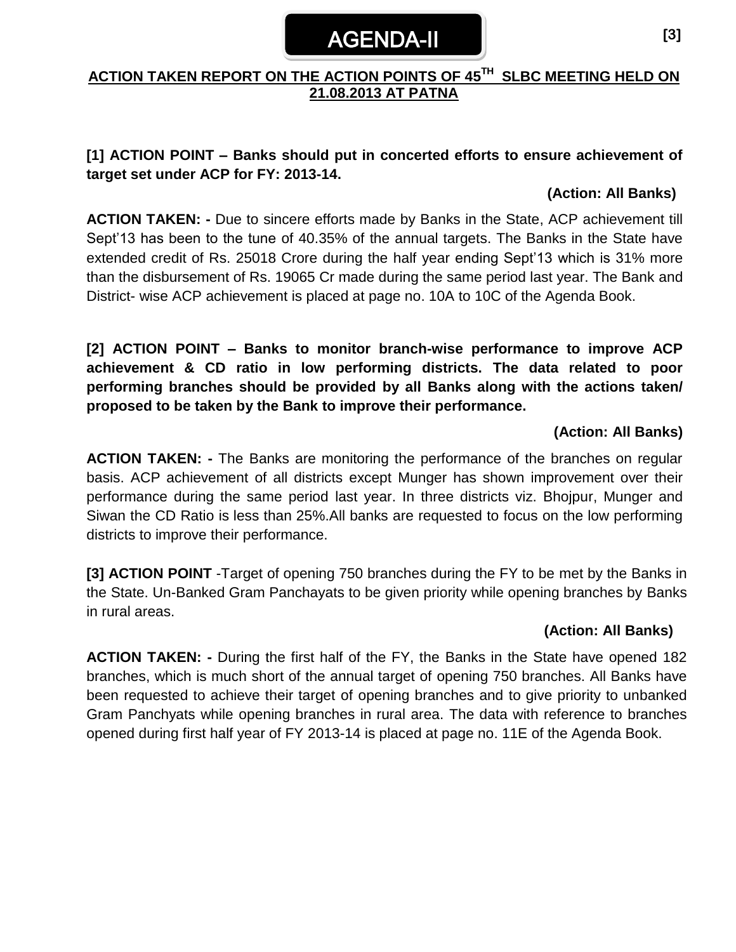# AGENDA-II

## **ACTION TAKEN REPORT ON THE ACTION POINTS OF 45 TH SLBC MEETING HELD ON 21.08.2013 AT PATNA**

## **[1] ACTION POINT – Banks should put in concerted efforts to ensure achievement of target set under ACP for FY: 2013-14.**

## **(Action: All Banks)**

**ACTION TAKEN: -** Due to sincere efforts made by Banks in the State, ACP achievement till Sept'13 has been to the tune of 40.35% of the annual targets. The Banks in the State have extended credit of Rs. 25018 Crore during the half year ending Sept'13 which is 31% more than the disbursement of Rs. 19065 Cr made during the same period last year. The Bank and District- wise ACP achievement is placed at page no. 10A to 10C of the Agenda Book.

**[2] ACTION POINT – Banks to monitor branch-wise performance to improve ACP achievement & CD ratio in low performing districts. The data related to poor performing branches should be provided by all Banks along with the actions taken/ proposed to be taken by the Bank to improve their performance.**

## **(Action: All Banks)**

**ACTION TAKEN: -** The Banks are monitoring the performance of the branches on regular basis. ACP achievement of all districts except Munger has shown improvement over their performance during the same period last year. In three districts viz. Bhojpur, Munger and Siwan the CD Ratio is less than 25%.All banks are requested to focus on the low performing districts to improve their performance.

**[3] ACTION POINT** -Target of opening 750 branches during the FY to be met by the Banks in the State. Un-Banked Gram Panchayats to be given priority while opening branches by Banks in rural areas.

## **(Action: All Banks)**

**ACTION TAKEN: -** During the first half of the FY, the Banks in the State have opened 182 branches, which is much short of the annual target of opening 750 branches. All Banks have been requested to achieve their target of opening branches and to give priority to unbanked Gram Panchyats while opening branches in rural area. The data with reference to branches opened during first half year of FY 2013-14 is placed at page no. 11E of the Agenda Book.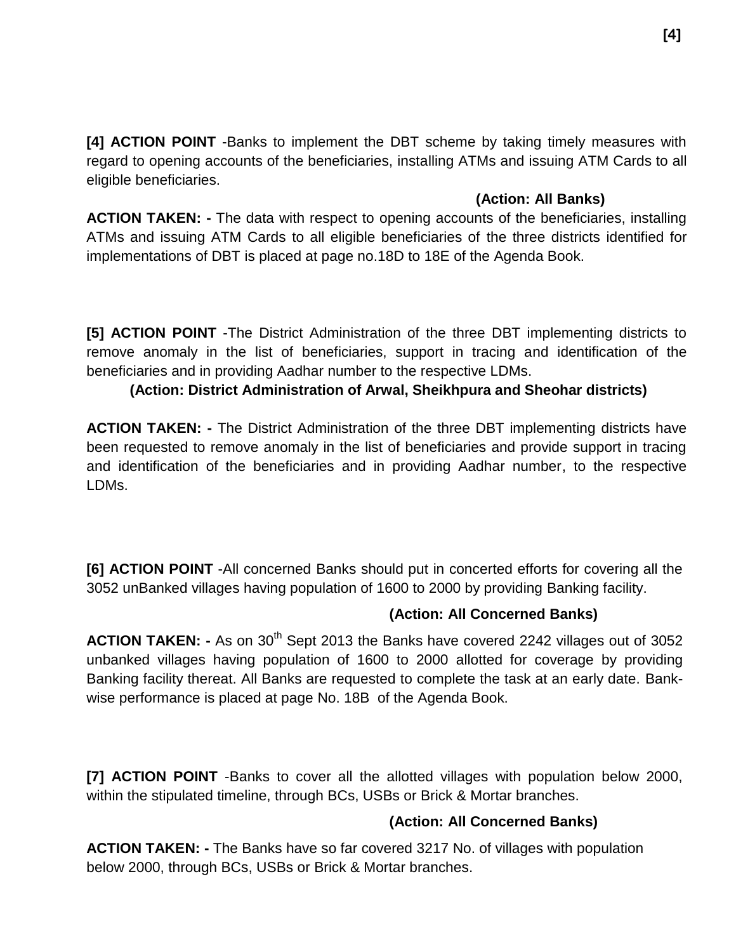**[4] ACTION POINT** -Banks to implement the DBT scheme by taking timely measures with regard to opening accounts of the beneficiaries, installing ATMs and issuing ATM Cards to all eligible beneficiaries.

## **(Action: All Banks)**

**ACTION TAKEN: -** The data with respect to opening accounts of the beneficiaries, installing ATMs and issuing ATM Cards to all eligible beneficiaries of the three districts identified for implementations of DBT is placed at page no.18D to 18E of the Agenda Book.

**[5] ACTION POINT** -The District Administration of the three DBT implementing districts to remove anomaly in the list of beneficiaries, support in tracing and identification of the beneficiaries and in providing Aadhar number to the respective LDMs.

## **(Action: District Administration of Arwal, Sheikhpura and Sheohar districts)**

**ACTION TAKEN: -** The District Administration of the three DBT implementing districts have been requested to remove anomaly in the list of beneficiaries and provide support in tracing and identification of the beneficiaries and in providing Aadhar number, to the respective LDMs.

**[6] ACTION POINT** -All concerned Banks should put in concerted efforts for covering all the 3052 unBanked villages having population of 1600 to 2000 by providing Banking facility.

## **(Action: All Concerned Banks)**

**ACTION TAKEN:** - As on 30<sup>th</sup> Sept 2013 the Banks have covered 2242 villages out of 3052 unbanked villages having population of 1600 to 2000 allotted for coverage by providing Banking facility thereat. All Banks are requested to complete the task at an early date. Bankwise performance is placed at page No. 18B of the Agenda Book.

**[7] ACTION POINT** -Banks to cover all the allotted villages with population below 2000, within the stipulated timeline, through BCs, USBs or Brick & Mortar branches.

## **(Action: All Concerned Banks)**

**ACTION TAKEN: -** The Banks have so far covered 3217 No. of villages with population below 2000, through BCs, USBs or Brick & Mortar branches.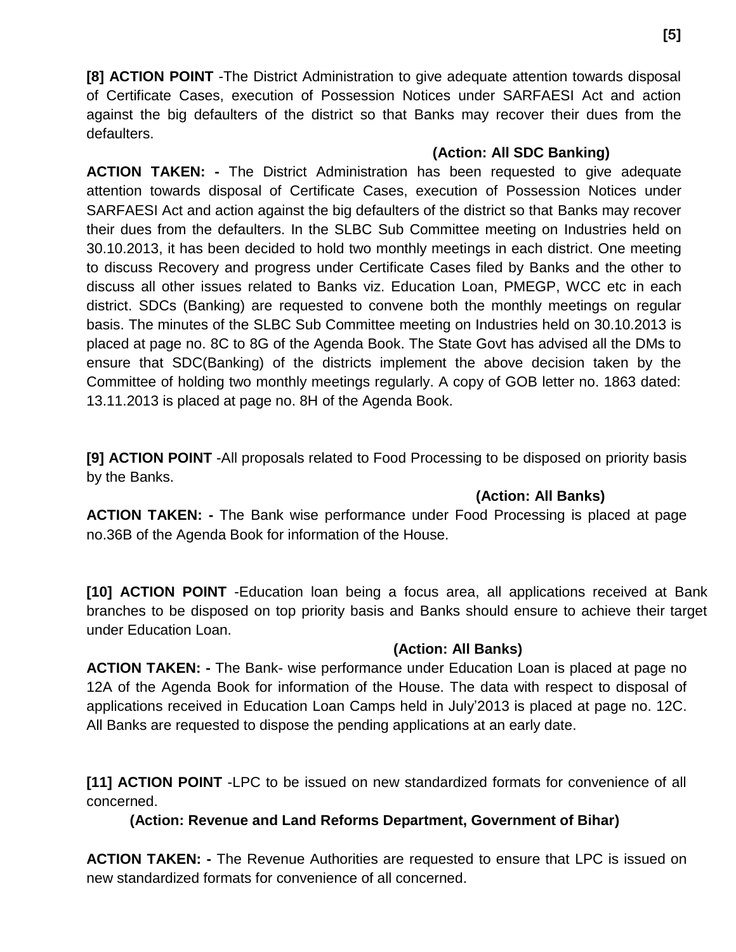**[8] ACTION POINT** -The District Administration to give adequate attention towards disposal of Certificate Cases, execution of Possession Notices under SARFAESI Act and action against the big defaulters of the district so that Banks may recover their dues from the defaulters.

## **(Action: All SDC Banking)**

**ACTION TAKEN: -** The District Administration has been requested to give adequate attention towards disposal of Certificate Cases, execution of Possession Notices under SARFAESI Act and action against the big defaulters of the district so that Banks may recover their dues from the defaulters. In the SLBC Sub Committee meeting on Industries held on 30.10.2013, it has been decided to hold two monthly meetings in each district. One meeting to discuss Recovery and progress under Certificate Cases filed by Banks and the other to discuss all other issues related to Banks viz. Education Loan, PMEGP, WCC etc in each district. SDCs (Banking) are requested to convene both the monthly meetings on regular basis. The minutes of the SLBC Sub Committee meeting on Industries held on 30.10.2013 is placed at page no. 8C to 8G of the Agenda Book. The State Govt has advised all the DMs to ensure that SDC(Banking) of the districts implement the above decision taken by the Committee of holding two monthly meetings regularly. A copy of GOB letter no. 1863 dated: 13.11.2013 is placed at page no. 8H of the Agenda Book.

**[9] ACTION POINT** -All proposals related to Food Processing to be disposed on priority basis by the Banks.

## **(Action: All Banks)**

**ACTION TAKEN: -** The Bank wise performance under Food Processing is placed at page no.36B of the Agenda Book for information of the House.

**[10] ACTION POINT** -Education loan being a focus area, all applications received at Bank branches to be disposed on top priority basis and Banks should ensure to achieve their target under Education Loan.

## **(Action: All Banks)**

**ACTION TAKEN: -** The Bank- wise performance under Education Loan is placed at page no 12A of the Agenda Book for information of the House. The data with respect to disposal of applications received in Education Loan Camps held in July'2013 is placed at page no. 12C. All Banks are requested to dispose the pending applications at an early date.

**[11] ACTION POINT** -LPC to be issued on new standardized formats for convenience of all concerned.

## **(Action: Revenue and Land Reforms Department, Government of Bihar)**

**ACTION TAKEN: -** The Revenue Authorities are requested to ensure that LPC is issued on new standardized formats for convenience of all concerned.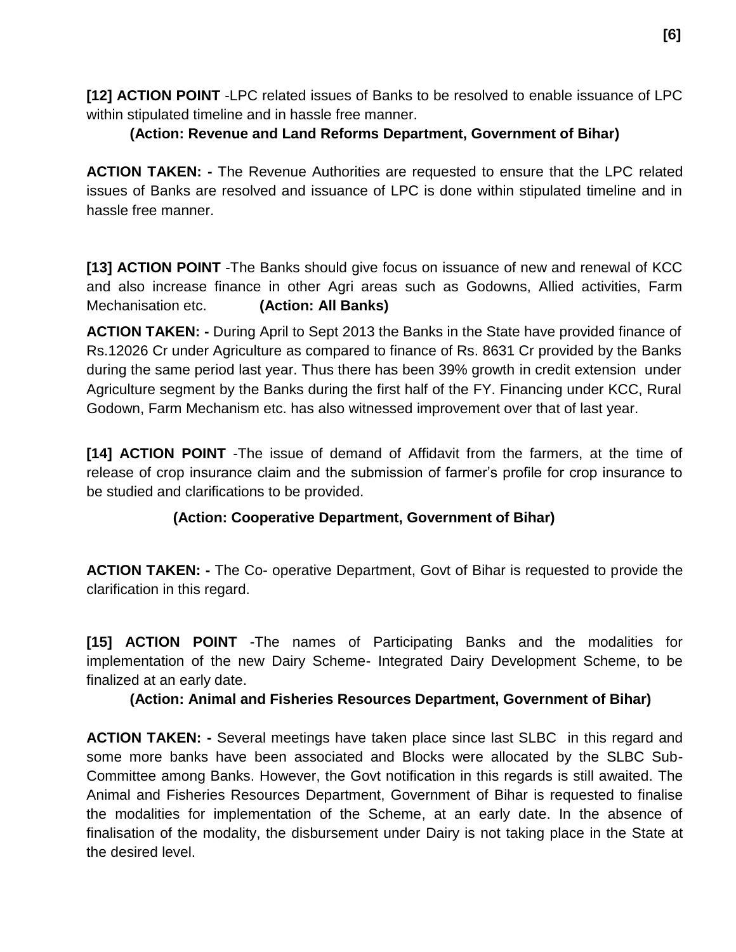**[12] ACTION POINT** -LPC related issues of Banks to be resolved to enable issuance of LPC within stipulated timeline and in hassle free manner.

## **(Action: Revenue and Land Reforms Department, Government of Bihar)**

**ACTION TAKEN: -** The Revenue Authorities are requested to ensure that the LPC related issues of Banks are resolved and issuance of LPC is done within stipulated timeline and in hassle free manner.

**[13] ACTION POINT** -The Banks should give focus on issuance of new and renewal of KCC and also increase finance in other Agri areas such as Godowns, Allied activities, Farm Mechanisation etc. **(Action: All Banks)**

**ACTION TAKEN: -** During April to Sept 2013 the Banks in the State have provided finance of Rs.12026 Cr under Agriculture as compared to finance of Rs. 8631 Cr provided by the Banks during the same period last year. Thus there has been 39% growth in credit extension under Agriculture segment by the Banks during the first half of the FY. Financing under KCC, Rural Godown, Farm Mechanism etc. has also witnessed improvement over that of last year.

**[14] ACTION POINT** -The issue of demand of Affidavit from the farmers, at the time of release of crop insurance claim and the submission of farmer's profile for crop insurance to be studied and clarifications to be provided.

## **(Action: Cooperative Department, Government of Bihar)**

**ACTION TAKEN: -** The Co- operative Department, Govt of Bihar is requested to provide the clarification in this regard.

**[15] ACTION POINT** -The names of Participating Banks and the modalities for implementation of the new Dairy Scheme- Integrated Dairy Development Scheme, to be finalized at an early date.

## **(Action: Animal and Fisheries Resources Department, Government of Bihar)**

**ACTION TAKEN: -** Several meetings have taken place since last SLBC in this regard and some more banks have been associated and Blocks were allocated by the SLBC Sub-Committee among Banks. However, the Govt notification in this regards is still awaited. The Animal and Fisheries Resources Department, Government of Bihar is requested to finalise the modalities for implementation of the Scheme, at an early date. In the absence of finalisation of the modality, the disbursement under Dairy is not taking place in the State at the desired level.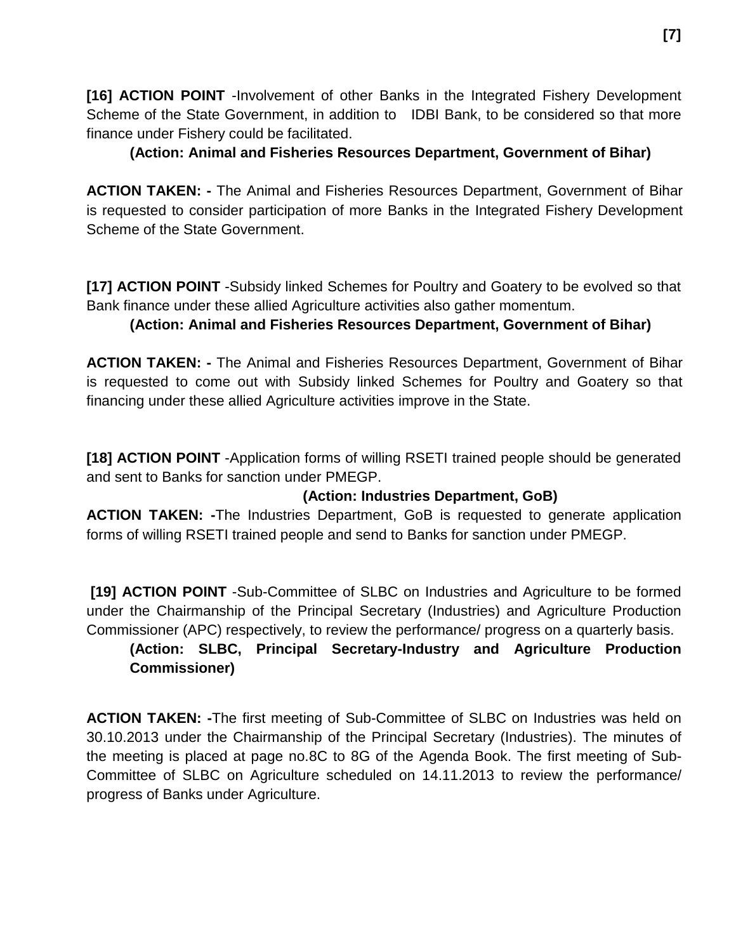**[16] ACTION POINT** -Involvement of other Banks in the Integrated Fishery Development Scheme of the State Government, in addition to IDBI Bank, to be considered so that more finance under Fishery could be facilitated.

## **(Action: Animal and Fisheries Resources Department, Government of Bihar)**

**ACTION TAKEN: -** The Animal and Fisheries Resources Department, Government of Bihar is requested to consider participation of more Banks in the Integrated Fishery Development Scheme of the State Government.

**[17] ACTION POINT** -Subsidy linked Schemes for Poultry and Goatery to be evolved so that Bank finance under these allied Agriculture activities also gather momentum.

## **(Action: Animal and Fisheries Resources Department, Government of Bihar)**

**ACTION TAKEN: -** The Animal and Fisheries Resources Department, Government of Bihar is requested to come out with Subsidy linked Schemes for Poultry and Goatery so that financing under these allied Agriculture activities improve in the State.

**[18] ACTION POINT** -Application forms of willing RSETI trained people should be generated and sent to Banks for sanction under PMEGP.

## **(Action: Industries Department, GoB)**

**ACTION TAKEN: -**The Industries Department, GoB is requested to generate application forms of willing RSETI trained people and send to Banks for sanction under PMEGP.

**[19] ACTION POINT** -Sub-Committee of SLBC on Industries and Agriculture to be formed under the Chairmanship of the Principal Secretary (Industries) and Agriculture Production Commissioner (APC) respectively, to review the performance/ progress on a quarterly basis.

## **(Action: SLBC, Principal Secretary-Industry and Agriculture Production Commissioner)**

**ACTION TAKEN: -**The first meeting of Sub-Committee of SLBC on Industries was held on 30.10.2013 under the Chairmanship of the Principal Secretary (Industries). The minutes of the meeting is placed at page no.8C to 8G of the Agenda Book. The first meeting of Sub-Committee of SLBC on Agriculture scheduled on 14.11.2013 to review the performance/ progress of Banks under Agriculture.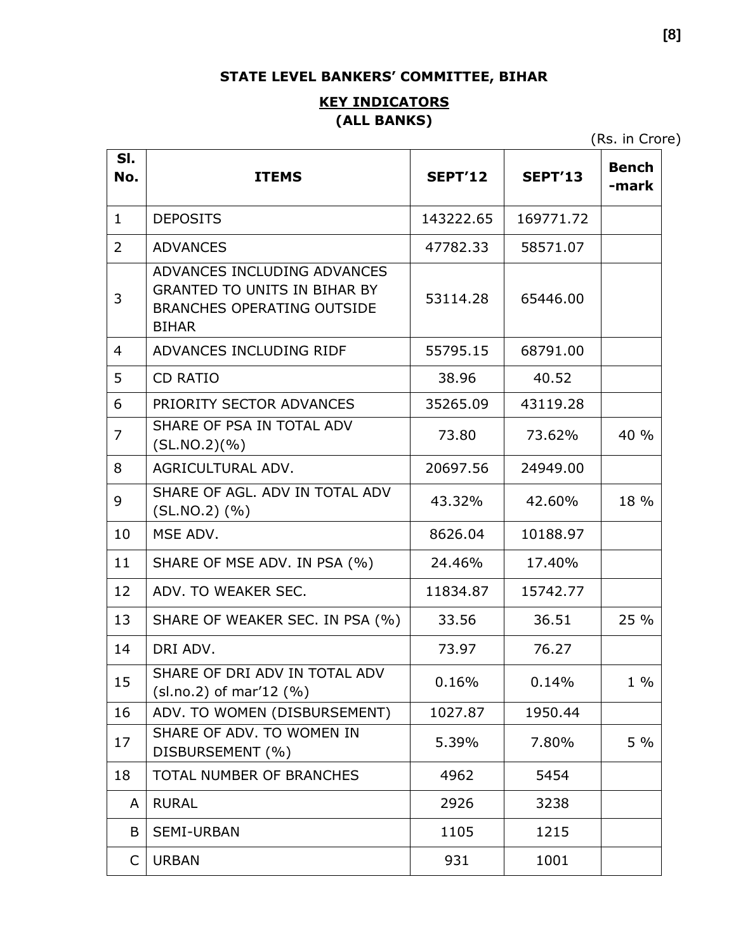## **STATE LEVEL BANKERS' COMMITTEE, BIHAR**

## **KEY INDICATORS (ALL BANKS)**

(Rs. in Crore)

| SI.<br>No.   | <b>ITEMS</b>                                                                                                            | <b>SEPT'12</b> | <b>SEPT'13</b> | <b>Bench</b><br>-mark |
|--------------|-------------------------------------------------------------------------------------------------------------------------|----------------|----------------|-----------------------|
| $\mathbf{1}$ | <b>DEPOSITS</b>                                                                                                         | 143222.65      | 169771.72      |                       |
| 2            | <b>ADVANCES</b>                                                                                                         | 47782.33       | 58571.07       |                       |
| 3            | ADVANCES INCLUDING ADVANCES<br><b>GRANTED TO UNITS IN BIHAR BY</b><br><b>BRANCHES OPERATING OUTSIDE</b><br><b>BIHAR</b> | 53114.28       | 65446.00       |                       |
| 4            | ADVANCES INCLUDING RIDF                                                                                                 | 55795.15       | 68791.00       |                       |
| 5            | <b>CD RATIO</b>                                                                                                         | 38.96          | 40.52          |                       |
| 6            | PRIORITY SECTOR ADVANCES                                                                                                | 35265.09       | 43119.28       |                       |
| 7            | SHARE OF PSA IN TOTAL ADV<br>(SL.NO.2)(%)                                                                               | 73.80          | 73.62%         | 40 %                  |
| 8            | AGRICULTURAL ADV.                                                                                                       | 20697.56       | 24949.00       |                       |
| 9            | SHARE OF AGL, ADV IN TOTAL ADV<br>$(SL.NO.2)$ $(\% )$                                                                   | 43.32%         | 42.60%         | 18 %                  |
| 10           | MSE ADV.                                                                                                                | 8626.04        | 10188.97       |                       |
| 11           | SHARE OF MSE ADV. IN PSA (%)                                                                                            | 24.46%         | 17.40%         |                       |
| 12           | ADV. TO WEAKER SEC.                                                                                                     | 11834.87       | 15742.77       |                       |
| 13           | SHARE OF WEAKER SEC. IN PSA (%)                                                                                         | 33.56          | 36.51          | 25 %                  |
| 14           | DRI ADV.                                                                                                                | 73.97          | 76.27          |                       |
| 15           | SHARE OF DRI ADV IN TOTAL ADV<br>$(sl.no.2)$ of mar'12 $(\%)$                                                           | 0.16%          | 0.14%          | $1\%$                 |
| 16           | ADV. TO WOMEN (DISBURSEMENT)                                                                                            | 1027.87        | 1950.44        |                       |
| 17           | SHARE OF ADV. TO WOMEN IN<br>DISBURSEMENT (%)                                                                           | 5.39%          | 7.80%          | $5\%$                 |
| 18           | <b>TOTAL NUMBER OF BRANCHES</b>                                                                                         | 4962           | 5454           |                       |
| A            | <b>RURAL</b>                                                                                                            | 2926           | 3238           |                       |
| B            | <b>SEMI-URBAN</b>                                                                                                       | 1105           | 1215           |                       |
| C            | <b>URBAN</b>                                                                                                            | 931            | 1001           |                       |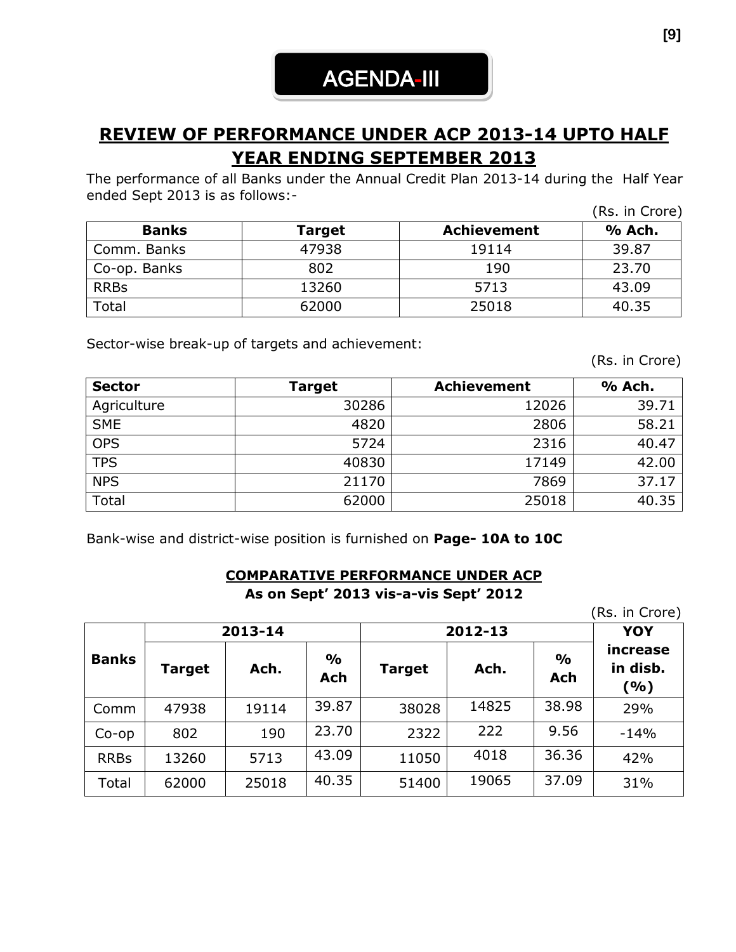# **REVIEW OF PERFORMANCE UNDER ACP 2013-14 UPTO HALF YEAR ENDING SEPTEMBER 2013**

The performance of all Banks under the Annual Credit Plan 2013-14 during the Half Year ended Sept 2013 is as follows:-

|              |        |                    | (Rs. in Crore) |
|--------------|--------|--------------------|----------------|
| <b>Banks</b> | Target | <b>Achievement</b> | % Ach.         |
| Comm. Banks  | 47938  | 19114              | 39.87          |
| Co-op. Banks | 802    | 190                | 23.70          |
| <b>RRBs</b>  | 13260  | 5713               | 43.09          |
| Total        | 62000  | 25018              | 40.35          |

Sector-wise break-up of targets and achievement:

(Rs. in Crore)

| <b>Sector</b> | Target | Achievement | % Ach. |
|---------------|--------|-------------|--------|
| Agriculture   | 30286  | 12026       | 39.71  |
| <b>SME</b>    | 4820   | 2806        | 58.21  |
| <b>OPS</b>    | 5724   | 2316        | 40.47  |
| <b>TPS</b>    | 40830  | 17149       | 42.00  |
| <b>NPS</b>    | 21170  | 7869        | 37.17  |
| Total         | 62000  | 25018       | 40.35  |

Bank-wise and district-wise position is furnished on **Page- 10A to 10C**

## **COMPARATIVE PERFORMANCE UNDER ACP As on Sept' 2013 vis-a-vis Sept' 2012**

(Rs. in Crore)

|              |        | 2013-14 |                      | 2012-13       | <b>YOY</b> |                             |                             |
|--------------|--------|---------|----------------------|---------------|------------|-----------------------------|-----------------------------|
| <b>Banks</b> | Target | Ach.    | $\frac{1}{2}$<br>Ach | <b>Target</b> | Ach.       | $\frac{0}{0}$<br><b>Ach</b> | increase<br>in disb.<br>(%) |
| Comm         | 47938  | 19114   | 39.87                | 38028         | 14825      | 38.98                       | 29%                         |
| $Co$ -op     | 802    | 190     | 23.70                | 2322          | 222        | 9.56                        | $-14%$                      |
| <b>RRBs</b>  | 13260  | 5713    | 43.09                | 11050         | 4018       | 36.36                       | 42%                         |
| Total        | 62000  | 25018   | 40.35                | 51400         | 19065      | 37.09                       | 31%                         |

**[9]**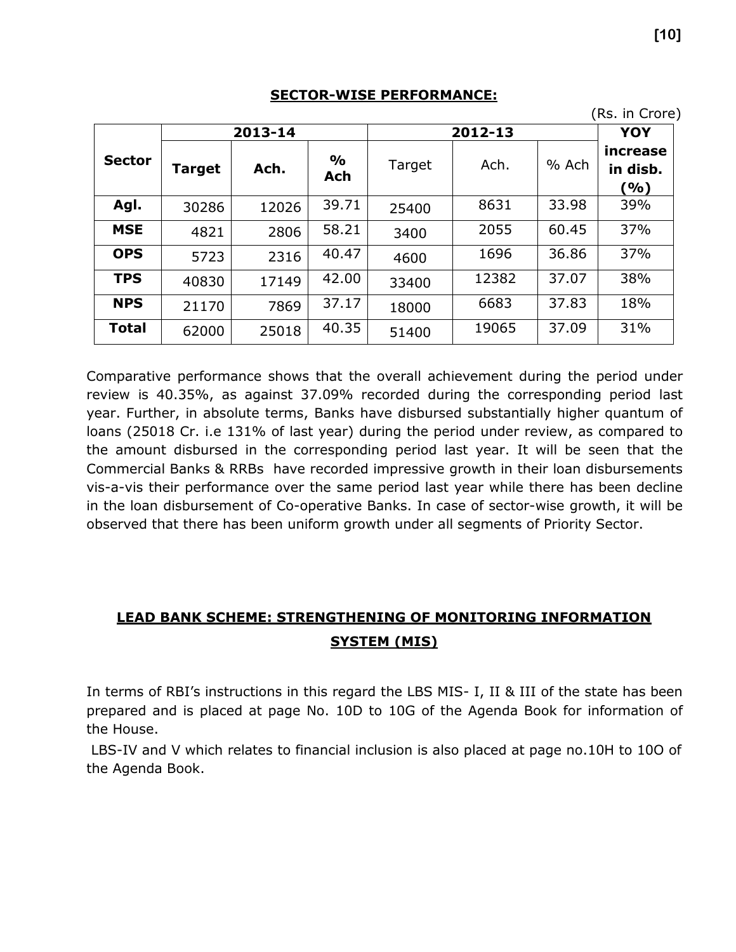|               |        | 2013-14 |                      |        | 2012-13 |       | YOY                         |
|---------------|--------|---------|----------------------|--------|---------|-------|-----------------------------|
| <b>Sector</b> | Target | Ach.    | $\frac{1}{2}$<br>Ach | Target | Ach.    | % Ach | increase<br>in disb.<br>(%) |
| Agl.          | 30286  | 12026   | 39.71                | 25400  | 8631    | 33.98 | 39%                         |
| <b>MSE</b>    | 4821   | 2806    | 58.21                | 3400   | 2055    | 60.45 | 37%                         |
| <b>OPS</b>    | 5723   | 2316    | 40.47                | 4600   | 1696    | 36.86 | 37%                         |
| <b>TPS</b>    | 40830  | 17149   | 42.00                | 33400  | 12382   | 37.07 | 38%                         |
| <b>NPS</b>    | 21170  | 7869    | 37.17                | 18000  | 6683    | 37.83 | 18%                         |
| <b>Total</b>  | 62000  | 25018   | 40.35                | 51400  | 19065   | 37.09 | 31%                         |

#### **SECTOR-WISE PERFORMANCE:**

Comparative performance shows that the overall achievement during the period under review is 40.35%, as against 37.09% recorded during the corresponding period last year. Further, in absolute terms, Banks have disbursed substantially higher quantum of loans (25018 Cr. i.e 131% of last year) during the period under review, as compared to the amount disbursed in the corresponding period last year. It will be seen that the Commercial Banks & RRBs have recorded impressive growth in their loan disbursements vis-a-vis their performance over the same period last year while there has been decline in the loan disbursement of Co-operative Banks. In case of sector-wise growth, it will be observed that there has been uniform growth under all segments of Priority Sector.

## **LEAD BANK SCHEME: STRENGTHENING OF MONITORING INFORMATION SYSTEM (MIS)**

In terms of RBI's instructions in this regard the LBS MIS- I, II & III of the state has been prepared and is placed at page No. 10D to 10G of the Agenda Book for information of the House.

LBS-IV and V which relates to financial inclusion is also placed at page no.10H to 10O of the Agenda Book.

(Rs. in Crore)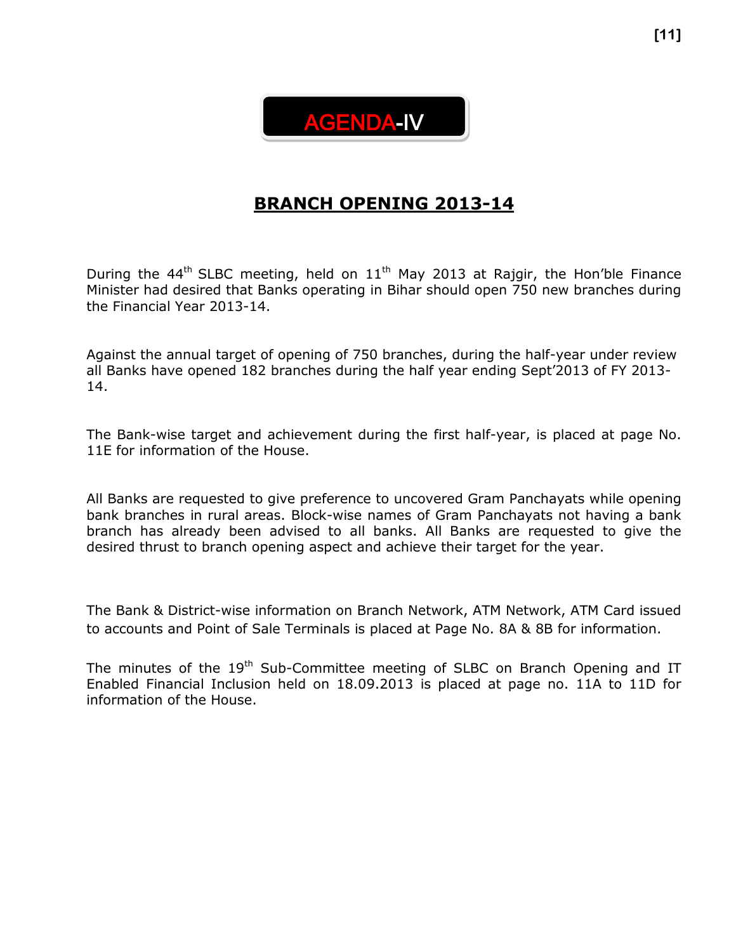

## **BRANCH OPENING 2013-14**

During the 44<sup>th</sup> SLBC meeting, held on  $11<sup>th</sup>$  May 2013 at Rajgir, the Hon'ble Finance Minister had desired that Banks operating in Bihar should open 750 new branches during the Financial Year 2013-14.

Against the annual target of opening of 750 branches, during the half-year under review all Banks have opened 182 branches during the half year ending Sept'2013 of FY 2013- 14.

The Bank-wise target and achievement during the first half-year, is placed at page No. 11E for information of the House.

All Banks are requested to give preference to uncovered Gram Panchayats while opening bank branches in rural areas. Block-wise names of Gram Panchayats not having a bank branch has already been advised to all banks. All Banks are requested to give the desired thrust to branch opening aspect and achieve their target for the year.

The Bank & District-wise information on Branch Network, ATM Network, ATM Card issued to accounts and Point of Sale Terminals is placed at Page No. 8A & 8B for information.

The minutes of the  $19<sup>th</sup>$  Sub-Committee meeting of SLBC on Branch Opening and IT Enabled Financial Inclusion held on 18.09.2013 is placed at page no. 11A to 11D for information of the House.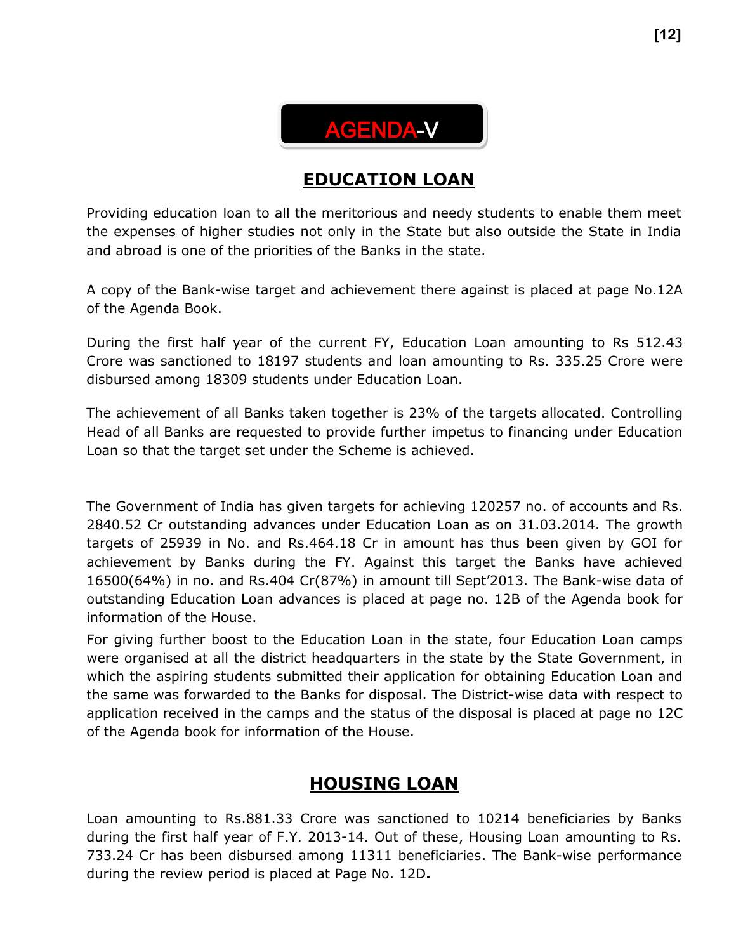

## **EDUCATION LOAN**

Providing education loan to all the meritorious and needy students to enable them meet the expenses of higher studies not only in the State but also outside the State in India and abroad is one of the priorities of the Banks in the state.

A copy of the Bank-wise target and achievement there against is placed at page No.12A of the Agenda Book.

During the first half year of the current FY, Education Loan amounting to Rs 512.43 Crore was sanctioned to 18197 students and loan amounting to Rs. 335.25 Crore were disbursed among 18309 students under Education Loan.

The achievement of all Banks taken together is 23% of the targets allocated. Controlling Head of all Banks are requested to provide further impetus to financing under Education Loan so that the target set under the Scheme is achieved.

The Government of India has given targets for achieving 120257 no. of accounts and Rs. 2840.52 Cr outstanding advances under Education Loan as on 31.03.2014. The growth targets of 25939 in No. and Rs.464.18 Cr in amount has thus been given by GOI for achievement by Banks during the FY. Against this target the Banks have achieved 16500(64%) in no. and Rs.404 Cr(87%) in amount till Sept'2013. The Bank-wise data of outstanding Education Loan advances is placed at page no. 12B of the Agenda book for information of the House.

For giving further boost to the Education Loan in the state, four Education Loan camps were organised at all the district headquarters in the state by the State Government, in which the aspiring students submitted their application for obtaining Education Loan and the same was forwarded to the Banks for disposal. The District-wise data with respect to application received in the camps and the status of the disposal is placed at page no 12C of the Agenda book for information of the House.

## **HOUSING LOAN**

Loan amounting to Rs.881.33 Crore was sanctioned to 10214 beneficiaries by Banks during the first half year of F.Y. 2013-14. Out of these, Housing Loan amounting to Rs. 733.24 Cr has been disbursed among 11311 beneficiaries. The Bank-wise performance during the review period is placed at Page No. 12D**.**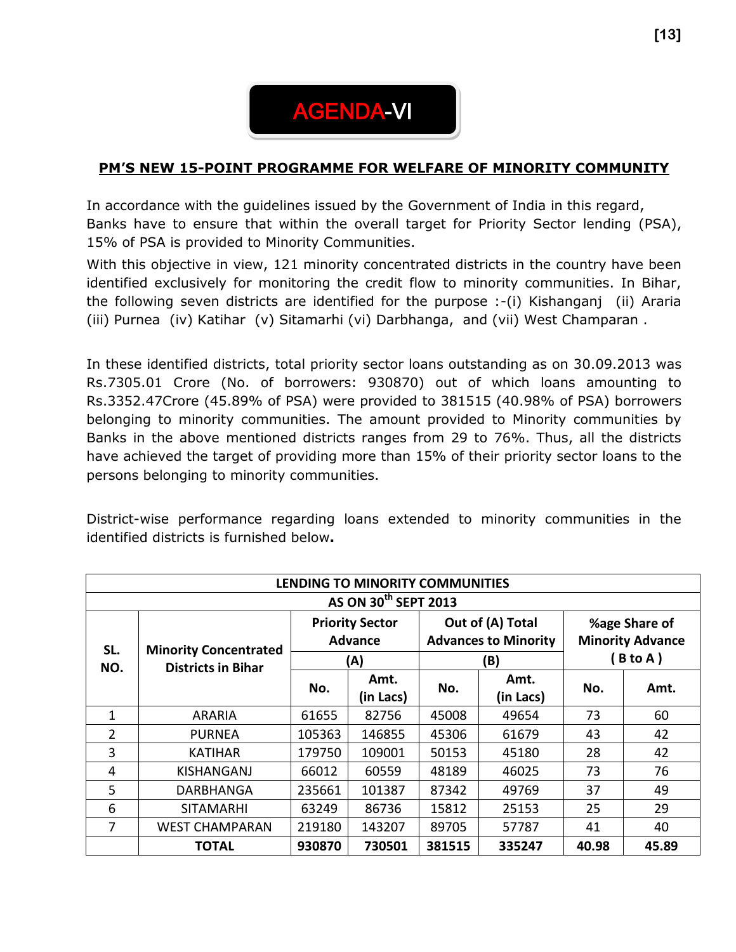

## **PM'S NEW 15-POINT PROGRAMME FOR WELFARE OF MINORITY COMMUNITY**

In accordance with the guidelines issued by the Government of India in this regard, Banks have to ensure that within the overall target for Priority Sector lending (PSA), 15% of PSA is provided to Minority Communities.

With this objective in view, 121 minority concentrated districts in the country have been identified exclusively for monitoring the credit flow to minority communities. In Bihar, the following seven districts are identified for the purpose :-(i) Kishanganj (ii) Araria (iii) Purnea (iv) Katihar (v) Sitamarhi (vi) Darbhanga, and (vii) West Champaran .

In these identified districts, total priority sector loans outstanding as on 30.09.2013 was Rs.7305.01 Crore (No. of borrowers: 930870) out of which loans amounting to Rs.3352.47Crore (45.89% of PSA) were provided to 381515 (40.98% of PSA) borrowers belonging to minority communities. The amount provided to Minority communities by Banks in the above mentioned districts ranges from 29 to 76%. Thus, all the districts have achieved the target of providing more than 15% of their priority sector loans to the persons belonging to minority communities.

District-wise performance regarding loans extended to minority communities in the identified districts is furnished below**.**

|                | LENDING TO MINORITY COMMUNITIES  |                                          |           |        |           |       |                                                 |  |                                          |  |
|----------------|----------------------------------|------------------------------------------|-----------|--------|-----------|-------|-------------------------------------------------|--|------------------------------------------|--|
|                | AS ON 30 <sup>th</sup> SEPT 2013 |                                          |           |        |           |       |                                                 |  |                                          |  |
| SL.            | <b>Minority Concentrated</b>     | <b>Priority Sector</b><br><b>Advance</b> |           |        |           |       | Out of (A) Total<br><b>Advances to Minority</b> |  | %age Share of<br><b>Minority Advance</b> |  |
| NO.            | <b>Districts in Bihar</b>        |                                          | (A)       |        | (B)       |       | $B$ to A $)$                                    |  |                                          |  |
|                |                                  | No.                                      | Amt.      | No.    | Amt.      | No.   | Amt.                                            |  |                                          |  |
|                |                                  |                                          | (in Lacs) |        | (in Lacs) |       |                                                 |  |                                          |  |
| 1              | <b>ARARIA</b>                    | 61655                                    | 82756     | 45008  | 49654     | 73    | 60                                              |  |                                          |  |
| $\overline{2}$ | <b>PURNEA</b>                    | 105363                                   | 146855    | 45306  | 61679     | 43    | 42                                              |  |                                          |  |
| 3              | <b>KATIHAR</b>                   | 179750                                   | 109001    | 50153  | 45180     | 28    | 42                                              |  |                                          |  |
| 4              | KISHANGANJ                       | 66012                                    | 60559     | 48189  | 46025     | 73    | 76                                              |  |                                          |  |
| 5              | DARBHANGA                        | 235661                                   | 101387    | 87342  | 49769     | 37    | 49                                              |  |                                          |  |
| 6              | <b>SITAMARHI</b>                 | 63249                                    | 86736     | 15812  | 25153     | 25    | 29                                              |  |                                          |  |
| 7              | <b>WEST CHAMPARAN</b>            | 219180                                   | 143207    | 89705  | 57787     | 41    | 40                                              |  |                                          |  |
|                | TOTAL                            | 930870                                   | 730501    | 381515 | 335247    | 40.98 | 45.89                                           |  |                                          |  |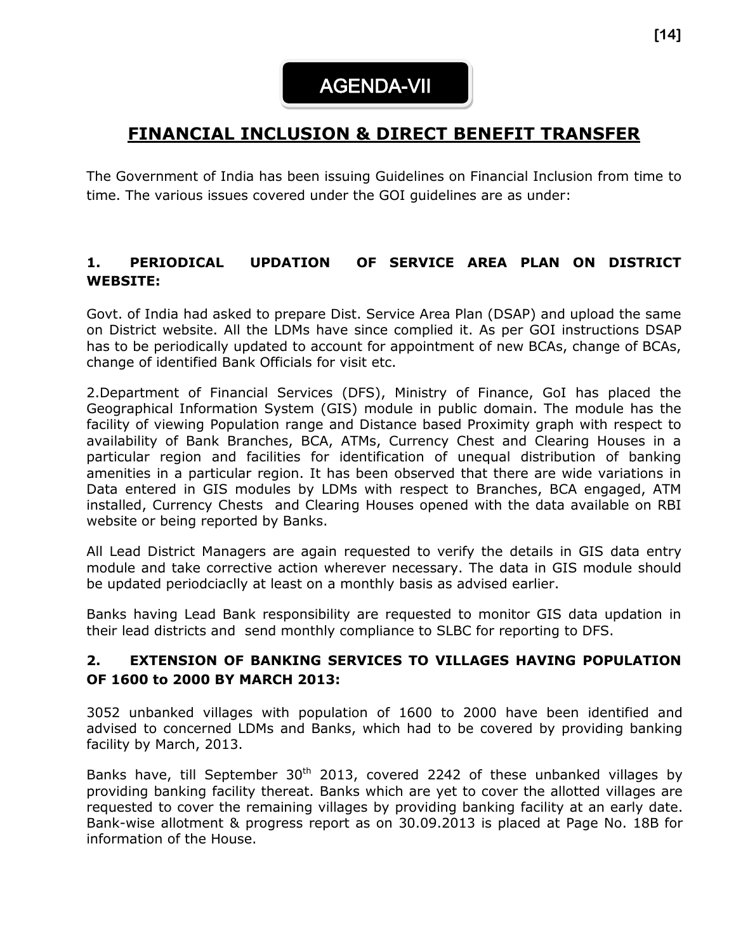## **FINANCIAL INCLUSION & DIRECT BENEFIT TRANSFER**

The Government of India has been issuing Guidelines on Financial Inclusion from time to time. The various issues covered under the GOI guidelines are as under:

## **1. PERIODICAL UPDATION OF SERVICE AREA PLAN ON DISTRICT WEBSITE:**

Govt. of India had asked to prepare Dist. Service Area Plan (DSAP) and upload the same on District website. All the LDMs have since complied it. As per GOI instructions DSAP has to be periodically updated to account for appointment of new BCAs, change of BCAs, change of identified Bank Officials for visit etc.

2.Department of Financial Services (DFS), Ministry of Finance, GoI has placed the Geographical Information System (GIS) module in public domain. The module has the facility of viewing Population range and Distance based Proximity graph with respect to availability of Bank Branches, BCA, ATMs, Currency Chest and Clearing Houses in a particular region and facilities for identification of unequal distribution of banking amenities in a particular region. It has been observed that there are wide variations in Data entered in GIS modules by LDMs with respect to Branches, BCA engaged, ATM installed, Currency Chests and Clearing Houses opened with the data available on RBI website or being reported by Banks.

All Lead District Managers are again requested to verify the details in GIS data entry module and take corrective action wherever necessary. The data in GIS module should be updated periodciaclly at least on a monthly basis as advised earlier.

Banks having Lead Bank responsibility are requested to monitor GIS data updation in their lead districts and send monthly compliance to SLBC for reporting to DFS.

## **2. EXTENSION OF BANKING SERVICES TO VILLAGES HAVING POPULATION OF 1600 to 2000 BY MARCH 2013:**

3052 unbanked villages with population of 1600 to 2000 have been identified and advised to concerned LDMs and Banks, which had to be covered by providing banking facility by March, 2013.

Banks have, till September 30<sup>th</sup> 2013, covered 2242 of these unbanked villages by providing banking facility thereat. Banks which are yet to cover the allotted villages are requested to cover the remaining villages by providing banking facility at an early date. Bank-wise allotment & progress report as on 30.09.2013 is placed at Page No. 18B for information of the House.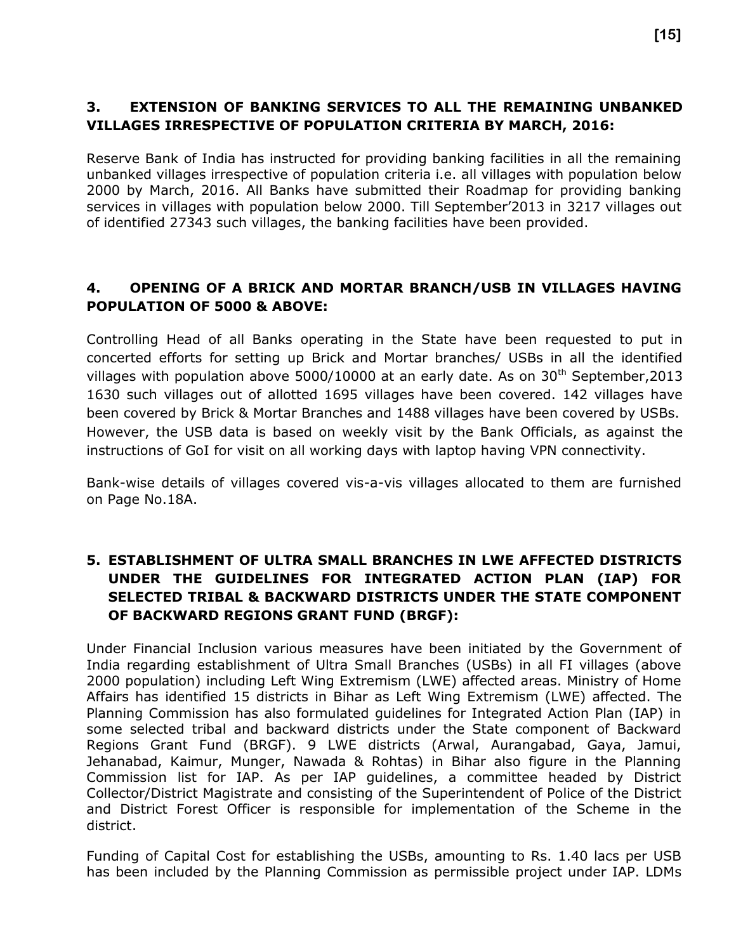## **3. EXTENSION OF BANKING SERVICES TO ALL THE REMAINING UNBANKED VILLAGES IRRESPECTIVE OF POPULATION CRITERIA BY MARCH, 2016:**

Reserve Bank of India has instructed for providing banking facilities in all the remaining unbanked villages irrespective of population criteria i.e. all villages with population below 2000 by March, 2016. All Banks have submitted their Roadmap for providing banking services in villages with population below 2000. Till September'2013 in 3217 villages out of identified 27343 such villages, the banking facilities have been provided.

## **4. OPENING OF A BRICK AND MORTAR BRANCH/USB IN VILLAGES HAVING POPULATION OF 5000 & ABOVE:**

Controlling Head of all Banks operating in the State have been requested to put in concerted efforts for setting up Brick and Mortar branches/ USBs in all the identified villages with population above 5000/10000 at an early date. As on  $30<sup>th</sup>$  September, 2013 1630 such villages out of allotted 1695 villages have been covered. 142 villages have been covered by Brick & Mortar Branches and 1488 villages have been covered by USBs. However, the USB data is based on weekly visit by the Bank Officials, as against the instructions of GoI for visit on all working days with laptop having VPN connectivity.

Bank-wise details of villages covered vis-a-vis villages allocated to them are furnished on Page No.18A.

## **5. ESTABLISHMENT OF ULTRA SMALL BRANCHES IN LWE AFFECTED DISTRICTS UNDER THE GUIDELINES FOR INTEGRATED ACTION PLAN (IAP) FOR SELECTED TRIBAL & BACKWARD DISTRICTS UNDER THE STATE COMPONENT OF BACKWARD REGIONS GRANT FUND (BRGF):**

Under Financial Inclusion various measures have been initiated by the Government of India regarding establishment of Ultra Small Branches (USBs) in all FI villages (above 2000 population) including Left Wing Extremism (LWE) affected areas. Ministry of Home Affairs has identified 15 districts in Bihar as Left Wing Extremism (LWE) affected. The Planning Commission has also formulated guidelines for Integrated Action Plan (IAP) in some selected tribal and backward districts under the State component of Backward Regions Grant Fund (BRGF). 9 LWE districts (Arwal, Aurangabad, Gaya, Jamui, Jehanabad, Kaimur, Munger, Nawada & Rohtas) in Bihar also figure in the Planning Commission list for IAP. As per IAP guidelines, a committee headed by District Collector/District Magistrate and consisting of the Superintendent of Police of the District and District Forest Officer is responsible for implementation of the Scheme in the district.

Funding of Capital Cost for establishing the USBs, amounting to Rs. 1.40 lacs per USB has been included by the Planning Commission as permissible project under IAP. LDMs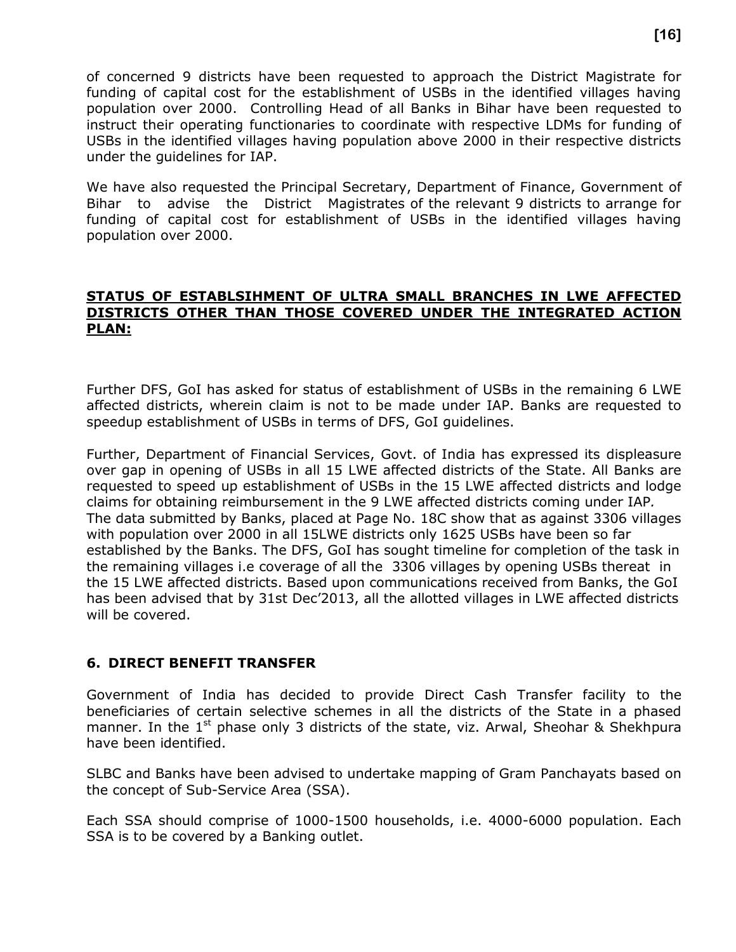of concerned 9 districts have been requested to approach the District Magistrate for funding of capital cost for the establishment of USBs in the identified villages having population over 2000. Controlling Head of all Banks in Bihar have been requested to instruct their operating functionaries to coordinate with respective LDMs for funding of USBs in the identified villages having population above 2000 in their respective districts under the guidelines for IAP.

We have also requested the Principal Secretary, Department of Finance, Government of Bihar to advise the District Magistrates of the relevant 9 districts to arrange for funding of capital cost for establishment of USBs in the identified villages having population over 2000.

#### **STATUS OF ESTABLSIHMENT OF ULTRA SMALL BRANCHES IN LWE AFFECTED DISTRICTS OTHER THAN THOSE COVERED UNDER THE INTEGRATED ACTION PLAN:**

Further DFS, GoI has asked for status of establishment of USBs in the remaining 6 LWE affected districts, wherein claim is not to be made under IAP. Banks are requested to speedup establishment of USBs in terms of DFS, GoI guidelines.

Further, Department of Financial Services, Govt. of India has expressed its displeasure over gap in opening of USBs in all 15 LWE affected districts of the State. All Banks are requested to speed up establishment of USBs in the 15 LWE affected districts and lodge claims for obtaining reimbursement in the 9 LWE affected districts coming under IAP*.* The data submitted by Banks, placed at Page No. 18C show that as against 3306 villages with population over 2000 in all 15LWE districts only 1625 USBs have been so far established by the Banks. The DFS, GoI has sought timeline for completion of the task in the remaining villages i.e coverage of all the 3306 villages by opening USBs thereat in the 15 LWE affected districts. Based upon communications received from Banks, the GoI has been advised that by 31st Dec'2013, all the allotted villages in LWE affected districts will be covered.

## **6. DIRECT BENEFIT TRANSFER**

Government of India has decided to provide Direct Cash Transfer facility to the beneficiaries of certain selective schemes in all the districts of the State in a phased manner. In the  $1<sup>st</sup>$  phase only 3 districts of the state, viz. Arwal, Sheohar & Shekhpura have been identified.

SLBC and Banks have been advised to undertake mapping of Gram Panchayats based on the concept of Sub-Service Area (SSA).

Each SSA should comprise of 1000-1500 households, i.e. 4000-6000 population. Each SSA is to be covered by a Banking outlet.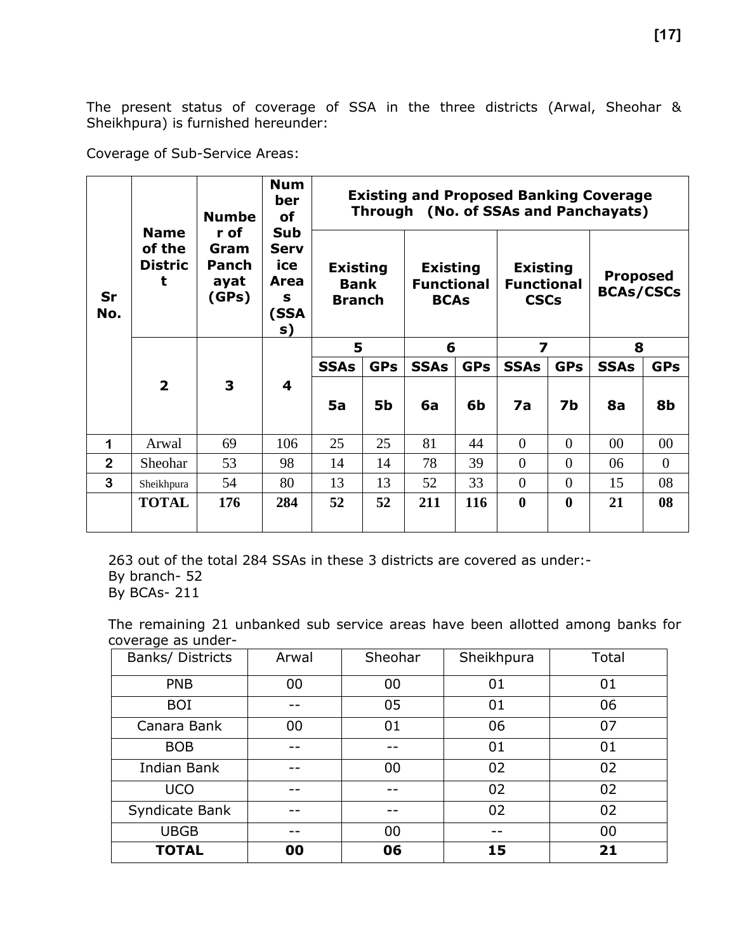The present status of coverage of SSA in the three districts (Arwal, Sheohar & Sheikhpura) is furnished hereunder:

Coverage of Sub-Service Areas:

| Sr<br>No.      | <b>Name</b><br>of the<br><b>Distric</b><br>t | <b>Numbe</b><br>r of<br>Gram<br><b>Panch</b><br>ayat<br>(GPs) | <b>Num</b><br>ber<br>οf<br>Sub<br><b>Serv</b><br>ice<br>Area<br>s<br>(SSA<br>s) | <b>Existing</b><br><b>Bank</b><br><b>Branch</b> |            | <b>Existing</b><br><b>Functional</b><br><b>BCAs</b> |            | <b>Existing and Proposed Banking Coverage</b><br>Through (No. of SSAs and Panchayats)<br><b>Existing</b><br><b>Functional</b><br><b>CSCs</b> |              | <b>Proposed</b><br><b>BCAs/CSCs</b> |            |
|----------------|----------------------------------------------|---------------------------------------------------------------|---------------------------------------------------------------------------------|-------------------------------------------------|------------|-----------------------------------------------------|------------|----------------------------------------------------------------------------------------------------------------------------------------------|--------------|-------------------------------------|------------|
|                |                                              |                                                               |                                                                                 | 5                                               |            | 6                                                   |            | 7                                                                                                                                            |              | 8                                   |            |
|                |                                              |                                                               |                                                                                 | <b>SSAs</b>                                     | <b>GPs</b> | <b>SSAs</b>                                         | <b>GPs</b> | <b>SSAs</b>                                                                                                                                  | <b>GPs</b>   | <b>SSAs</b>                         | <b>GPs</b> |
|                | $\overline{2}$                               | $\mathbf{3}$                                                  | $\overline{\mathbf{4}}$                                                         |                                                 |            |                                                     |            |                                                                                                                                              |              |                                     |            |
|                |                                              |                                                               |                                                                                 | 5a                                              | <b>5b</b>  | 6a                                                  | 6b         | 7a                                                                                                                                           | 7b           | 8a                                  | 8b         |
| 1              | Arwal                                        | 69                                                            | 106                                                                             | 25                                              | 25         | 81                                                  | 44         | $\overline{0}$                                                                                                                               | $\theta$     | $00\,$                              | 00         |
| $\overline{2}$ | Sheohar                                      | 53                                                            | 98                                                                              | 14                                              | 14         | 78                                                  | 39         | $\Omega$                                                                                                                                     | $\theta$     | 06                                  | $\theta$   |
| 3              | Sheikhpura                                   | 54                                                            | 80                                                                              | 13                                              | 13         | 52                                                  | 33         | $\Omega$                                                                                                                                     | $\theta$     | 15                                  | 08         |
|                | <b>TOTAL</b>                                 | 176                                                           | 284                                                                             | 52                                              | 52         | 211                                                 | 116        | $\mathbf{0}$                                                                                                                                 | $\mathbf{0}$ | 21                                  | 08         |

263 out of the total 284 SSAs in these 3 districts are covered as under:- By branch- 52 By BCAs- 211

The remaining 21 unbanked sub service areas have been allotted among banks for coverage as under-

| Banks/ Districts | Arwal | Sheohar | Sheikhpura | Total |
|------------------|-------|---------|------------|-------|
| <b>PNB</b>       | 00    | 00      | 01         | 01    |
| <b>BOI</b>       |       | 05      | 01         | 06    |
| Canara Bank      | 00    | 01      | 06         | 07    |
| <b>BOB</b>       |       |         | 01         | 01    |
| Indian Bank      |       | 00      | 02         | 02    |
| <b>UCO</b>       |       |         | 02         | 02    |
| Syndicate Bank   |       |         | 02         | 02    |
| <b>UBGB</b>      |       | 00      |            | 00    |
| <b>TOTAL</b>     | 00    | 06      | 15         | 21    |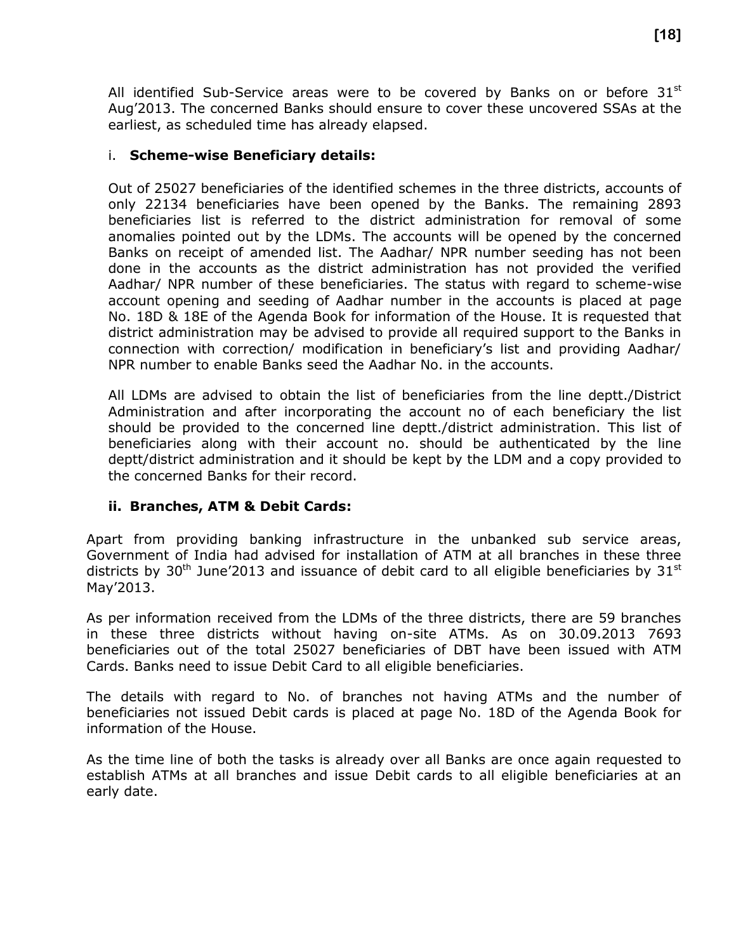All identified Sub-Service areas were to be covered by Banks on or before  $31^{st}$ Aug'2013. The concerned Banks should ensure to cover these uncovered SSAs at the earliest, as scheduled time has already elapsed.

## i. **Scheme-wise Beneficiary details:**

Out of 25027 beneficiaries of the identified schemes in the three districts, accounts of only 22134 beneficiaries have been opened by the Banks. The remaining 2893 beneficiaries list is referred to the district administration for removal of some anomalies pointed out by the LDMs. The accounts will be opened by the concerned Banks on receipt of amended list. The Aadhar/ NPR number seeding has not been done in the accounts as the district administration has not provided the verified Aadhar/ NPR number of these beneficiaries. The status with regard to scheme-wise account opening and seeding of Aadhar number in the accounts is placed at page No. 18D & 18E of the Agenda Book for information of the House. It is requested that district administration may be advised to provide all required support to the Banks in connection with correction/ modification in beneficiary's list and providing Aadhar/ NPR number to enable Banks seed the Aadhar No. in the accounts.

All LDMs are advised to obtain the list of beneficiaries from the line deptt./District Administration and after incorporating the account no of each beneficiary the list should be provided to the concerned line deptt./district administration. This list of beneficiaries along with their account no. should be authenticated by the line deptt/district administration and it should be kept by the LDM and a copy provided to the concerned Banks for their record.

## **ii. Branches, ATM & Debit Cards:**

Apart from providing banking infrastructure in the unbanked sub service areas, Government of India had advised for installation of ATM at all branches in these three districts by  $30<sup>th</sup>$  June'2013 and issuance of debit card to all eligible beneficiaries by  $31<sup>st</sup>$ May'2013.

As per information received from the LDMs of the three districts, there are 59 branches in these three districts without having on-site ATMs. As on 30.09.2013 7693 beneficiaries out of the total 25027 beneficiaries of DBT have been issued with ATM Cards. Banks need to issue Debit Card to all eligible beneficiaries.

The details with regard to No. of branches not having ATMs and the number of beneficiaries not issued Debit cards is placed at page No. 18D of the Agenda Book for information of the House.

As the time line of both the tasks is already over all Banks are once again requested to establish ATMs at all branches and issue Debit cards to all eligible beneficiaries at an early date.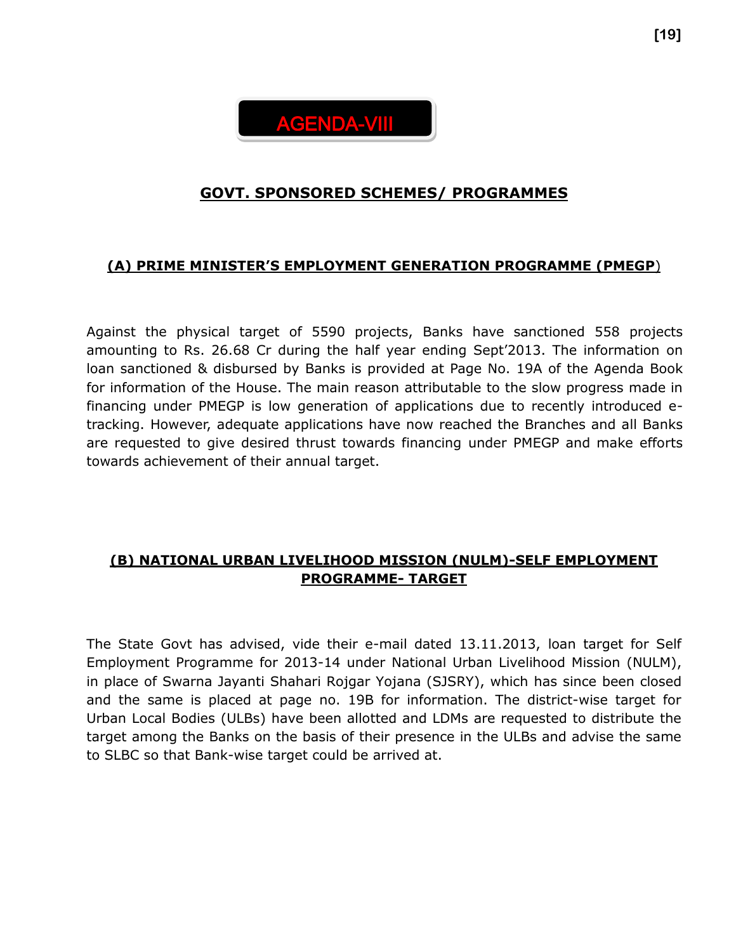

## **GOVT. SPONSORED SCHEMES/ PROGRAMMES**

## **(A) PRIME MINISTER'S EMPLOYMENT GENERATION PROGRAMME (PMEGP**)

Against the physical target of 5590 projects, Banks have sanctioned 558 projects amounting to Rs. 26.68 Cr during the half year ending Sept'2013. The information on loan sanctioned & disbursed by Banks is provided at Page No. 19A of the Agenda Book for information of the House. The main reason attributable to the slow progress made in financing under PMEGP is low generation of applications due to recently introduced etracking. However, adequate applications have now reached the Branches and all Banks are requested to give desired thrust towards financing under PMEGP and make efforts towards achievement of their annual target.

## **(B) NATIONAL URBAN LIVELIHOOD MISSION (NULM)-SELF EMPLOYMENT PROGRAMME- TARGET**

The State Govt has advised, vide their e-mail dated 13.11.2013, loan target for Self Employment Programme for 2013-14 under National Urban Livelihood Mission (NULM), in place of Swarna Jayanti Shahari Rojgar Yojana (SJSRY), which has since been closed and the same is placed at page no. 19B for information. The district-wise target for Urban Local Bodies (ULBs) have been allotted and LDMs are requested to distribute the target among the Banks on the basis of their presence in the ULBs and advise the same to SLBC so that Bank-wise target could be arrived at.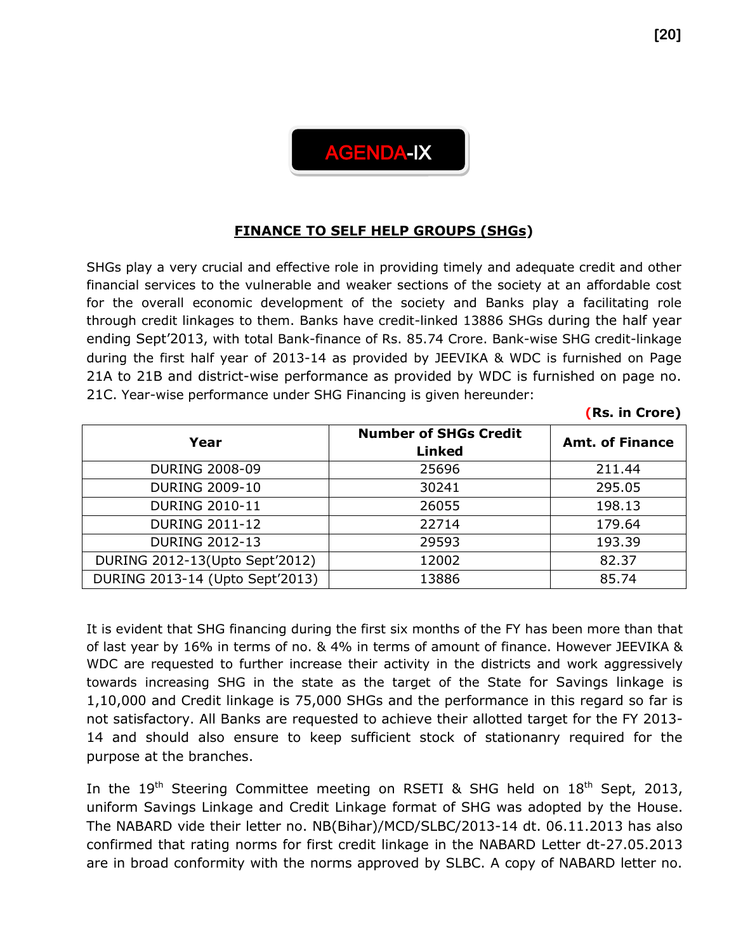

## **FINANCE TO SELF HELP GROUPS (SHGs)**

SHGs play a very crucial and effective role in providing timely and adequate credit and other financial services to the vulnerable and weaker sections of the society at an affordable cost for the overall economic development of the society and Banks play a facilitating role through credit linkages to them. Banks have credit-linked 13886 SHGs during the half year ending Sept'2013, with total Bank-finance of Rs. 85.74 Crore. Bank-wise SHG credit-linkage during the first half year of 2013-14 as provided by JEEVIKA & WDC is furnished on Page 21A to 21B and district-wise performance as provided by WDC is furnished on page no. 21C. Year-wise performance under SHG Financing is given hereunder:

| Year                            | <b>Number of SHGs Credit</b><br><b>Linked</b> | <b>Amt. of Finance</b> |
|---------------------------------|-----------------------------------------------|------------------------|
| <b>DURING 2008-09</b>           | 25696                                         | 211.44                 |
| <b>DURING 2009-10</b>           | 30241                                         | 295.05                 |
| <b>DURING 2010-11</b>           | 26055                                         | 198.13                 |
| <b>DURING 2011-12</b>           | 22714                                         | 179.64                 |
| <b>DURING 2012-13</b>           | 29593                                         | 193.39                 |
| DURING 2012-13 (Upto Sept'2012) | 12002                                         | 82.37                  |
| DURING 2013-14 (Upto Sept'2013) | 13886                                         | 85.74                  |

It is evident that SHG financing during the first six months of the FY has been more than that of last year by 16% in terms of no. & 4% in terms of amount of finance. However JEEVIKA & WDC are requested to further increase their activity in the districts and work aggressively towards increasing SHG in the state as the target of the State for Savings linkage is 1,10,000 and Credit linkage is 75,000 SHGs and the performance in this regard so far is not satisfactory. All Banks are requested to achieve their allotted target for the FY 2013- 14 and should also ensure to keep sufficient stock of stationanry required for the purpose at the branches.

In the 19<sup>th</sup> Steering Committee meeting on RSETI & SHG held on  $18<sup>th</sup>$  Sept, 2013, uniform Savings Linkage and Credit Linkage format of SHG was adopted by the House. The NABARD vide their letter no. NB(Bihar)/MCD/SLBC/2013-14 dt. 06.11.2013 has also confirmed that rating norms for first credit linkage in the NABARD Letter dt-27.05.2013 are in broad conformity with the norms approved by SLBC. A copy of NABARD letter no.

**(Rs. in Crore)**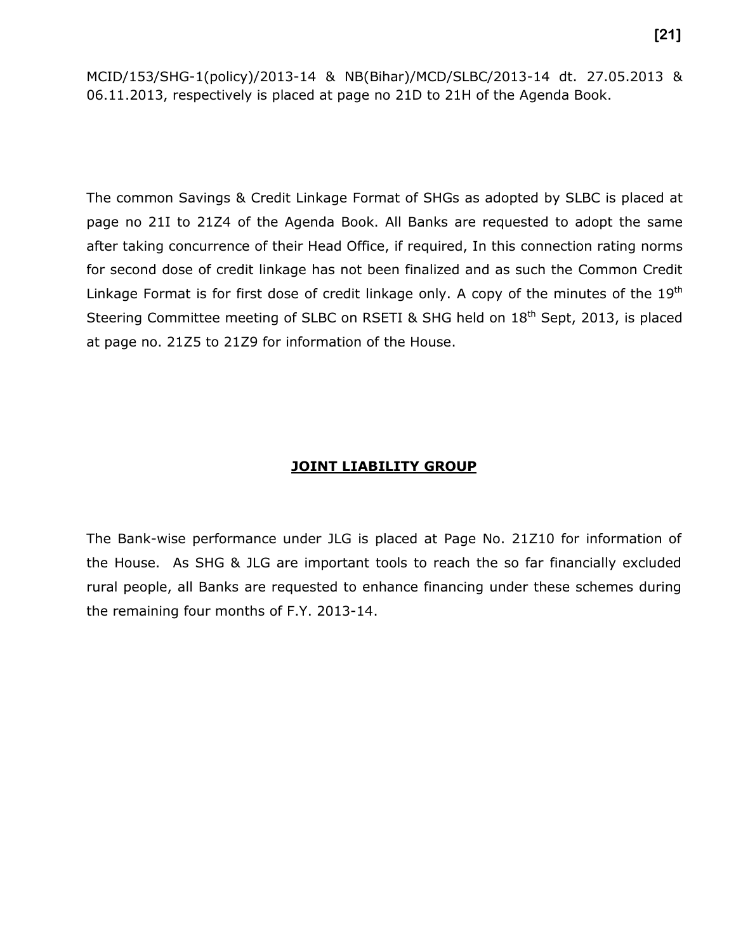MCID/153/SHG-1(policy)/2013-14 & NB(Bihar)/MCD/SLBC/2013-14 dt. 27.05.2013 & 06.11.2013, respectively is placed at page no 21D to 21H of the Agenda Book.

The common Savings & Credit Linkage Format of SHGs as adopted by SLBC is placed at page no 21I to 21Z4 of the Agenda Book. All Banks are requested to adopt the same after taking concurrence of their Head Office, if required, In this connection rating norms for second dose of credit linkage has not been finalized and as such the Common Credit Linkage Format is for first dose of credit linkage only. A copy of the minutes of the  $19<sup>th</sup>$ Steering Committee meeting of SLBC on RSETI & SHG held on 18<sup>th</sup> Sept, 2013, is placed at page no. 21Z5 to 21Z9 for information of the House.

#### **JOINT LIABILITY GROUP**

The Bank-wise performance under JLG is placed at Page No. 21Z10 for information of the House. As SHG & JLG are important tools to reach the so far financially excluded rural people, all Banks are requested to enhance financing under these schemes during the remaining four months of F.Y. 2013-14.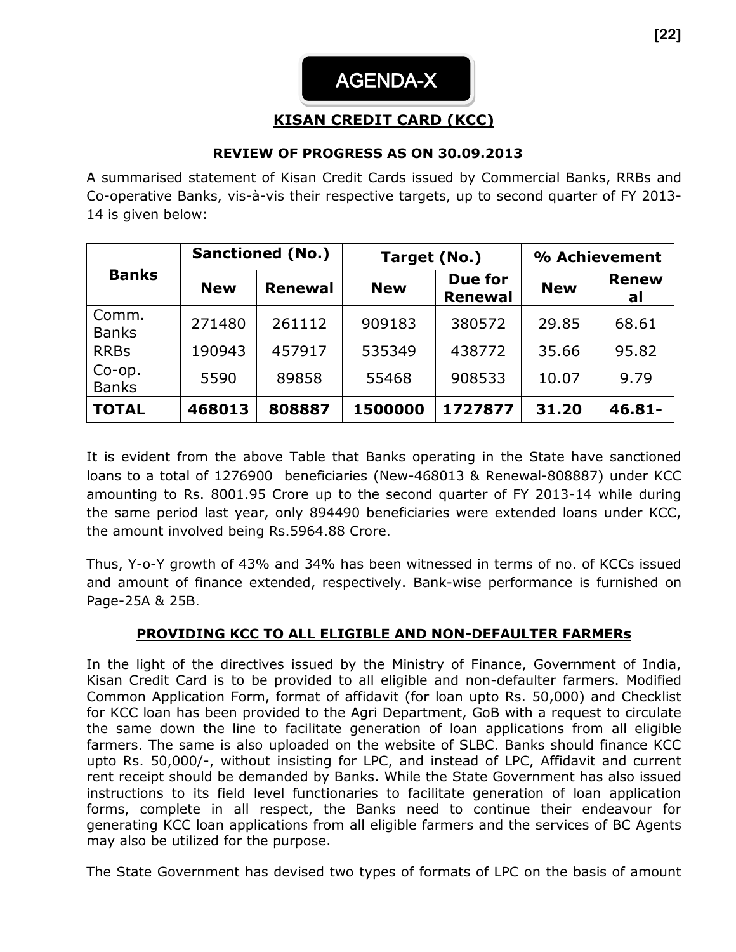# AGENDA-X

## **KISAN CREDIT CARD (KCC)**

## **REVIEW OF PROGRESS AS ON 30.09.2013**

A summarised statement of Kisan Credit Cards issued by Commercial Banks, RRBs and Co-operative Banks, vis-à-vis their respective targets, up to second quarter of FY 2013- 14 is given below:

|                        | <b>Sanctioned (No.)</b> |                | Target (No.) |                           | % Achievement |                    |  |
|------------------------|-------------------------|----------------|--------------|---------------------------|---------------|--------------------|--|
| <b>Banks</b>           | <b>New</b>              | <b>Renewal</b> | <b>New</b>   | Due for<br><b>Renewal</b> | <b>New</b>    | <b>Renew</b><br>al |  |
| Comm.<br><b>Banks</b>  | 271480                  | 261112         | 909183       | 380572                    | 29.85         | 68.61              |  |
| <b>RRBs</b>            | 190943                  | 457917         | 535349       | 438772                    | 35.66         | 95.82              |  |
| Co-op.<br><b>Banks</b> | 5590                    | 89858          | 55468        | 908533                    | 10.07         | 9.79               |  |
| <b>TOTAL</b>           | 468013                  | 808887         | 1500000      | 1727877                   | 31.20         | $46.81 -$          |  |

It is evident from the above Table that Banks operating in the State have sanctioned loans to a total of 1276900 beneficiaries (New-468013 & Renewal-808887) under KCC amounting to Rs. 8001.95 Crore up to the second quarter of FY 2013-14 while during the same period last year, only 894490 beneficiaries were extended loans under KCC, the amount involved being Rs.5964.88 Crore.

Thus, Y-o-Y growth of 43% and 34% has been witnessed in terms of no. of KCCs issued and amount of finance extended, respectively. Bank-wise performance is furnished on Page-25A & 25B.

## **PROVIDING KCC TO ALL ELIGIBLE AND NON-DEFAULTER FARMERs**

In the light of the directives issued by the Ministry of Finance, Government of India, Kisan Credit Card is to be provided to all eligible and non-defaulter farmers. Modified Common Application Form, format of affidavit (for loan upto Rs. 50,000) and Checklist for KCC loan has been provided to the Agri Department, GoB with a request to circulate the same down the line to facilitate generation of loan applications from all eligible farmers. The same is also uploaded on the website of SLBC. Banks should finance KCC upto Rs. 50,000/-, without insisting for LPC, and instead of LPC, Affidavit and current rent receipt should be demanded by Banks. While the State Government has also issued instructions to its field level functionaries to facilitate generation of loan application forms, complete in all respect, the Banks need to continue their endeavour for generating KCC loan applications from all eligible farmers and the services of BC Agents may also be utilized for the purpose.

The State Government has devised two types of formats of LPC on the basis of amount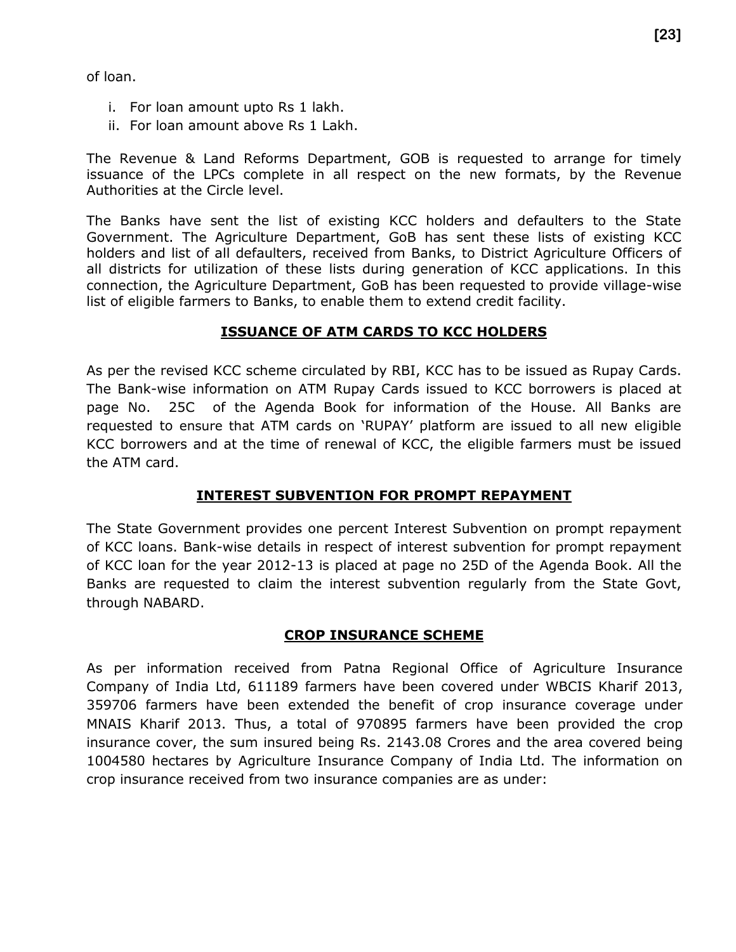of loan.

- i. For loan amount upto Rs 1 lakh.
- ii. For loan amount above Rs 1 Lakh.

The Revenue & Land Reforms Department, GOB is requested to arrange for timely issuance of the LPCs complete in all respect on the new formats, by the Revenue Authorities at the Circle level.

The Banks have sent the list of existing KCC holders and defaulters to the State Government. The Agriculture Department, GoB has sent these lists of existing KCC holders and list of all defaulters, received from Banks, to District Agriculture Officers of all districts for utilization of these lists during generation of KCC applications. In this connection, the Agriculture Department, GoB has been requested to provide village-wise list of eligible farmers to Banks, to enable them to extend credit facility.

## **ISSUANCE OF ATM CARDS TO KCC HOLDERS**

As per the revised KCC scheme circulated by RBI, KCC has to be issued as Rupay Cards. The Bank-wise information on ATM Rupay Cards issued to KCC borrowers is placed at page No. 25C of the Agenda Book for information of the House. All Banks are requested to ensure that ATM cards on 'RUPAY' platform are issued to all new eligible KCC borrowers and at the time of renewal of KCC, the eligible farmers must be issued the ATM card.

## **INTEREST SUBVENTION FOR PROMPT REPAYMENT**

The State Government provides one percent Interest Subvention on prompt repayment of KCC loans. Bank-wise details in respect of interest subvention for prompt repayment of KCC loan for the year 2012-13 is placed at page no 25D of the Agenda Book. All the Banks are requested to claim the interest subvention regularly from the State Govt, through NABARD.

## **CROP INSURANCE SCHEME**

As per information received from Patna Regional Office of Agriculture Insurance Company of India Ltd, 611189 farmers have been covered under WBCIS Kharif 2013, 359706 farmers have been extended the benefit of crop insurance coverage under MNAIS Kharif 2013. Thus, a total of 970895 farmers have been provided the crop insurance cover, the sum insured being Rs. 2143.08 Crores and the area covered being 1004580 hectares by Agriculture Insurance Company of India Ltd. The information on crop insurance received from two insurance companies are as under: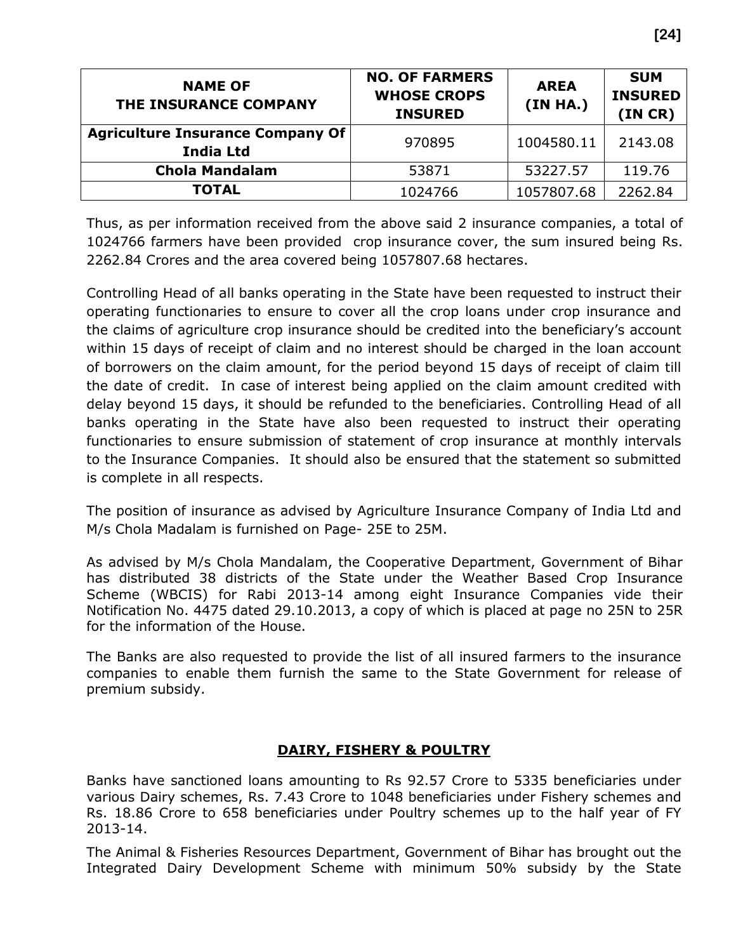| <b>NAME OF</b><br>THE INSURANCE COMPANY                     | <b>NO. OF FARMERS</b><br><b>WHOSE CROPS</b><br><b>INSURED</b> | <b>AREA</b><br>(IN HA.) | <b>SUM</b><br><b>INSURED</b><br>(IN CR) |
|-------------------------------------------------------------|---------------------------------------------------------------|-------------------------|-----------------------------------------|
| <b>Agriculture Insurance Company Of</b><br><b>India Ltd</b> | 970895                                                        | 1004580.11              | 2143.08                                 |
| <b>Chola Mandalam</b>                                       | 53871                                                         | 53227.57                | 119.76                                  |
| <b>TOTAL</b>                                                | 1024766                                                       | 1057807.68              | 2262.84                                 |

Thus, as per information received from the above said 2 insurance companies, a total of 1024766 farmers have been provided crop insurance cover, the sum insured being Rs. 2262.84 Crores and the area covered being 1057807.68 hectares.

Controlling Head of all banks operating in the State have been requested to instruct their operating functionaries to ensure to cover all the crop loans under crop insurance and the claims of agriculture crop insurance should be credited into the beneficiary's account within 15 days of receipt of claim and no interest should be charged in the loan account of borrowers on the claim amount, for the period beyond 15 days of receipt of claim till the date of credit. In case of interest being applied on the claim amount credited with delay beyond 15 days, it should be refunded to the beneficiaries. Controlling Head of all banks operating in the State have also been requested to instruct their operating functionaries to ensure submission of statement of crop insurance at monthly intervals to the Insurance Companies. It should also be ensured that the statement so submitted is complete in all respects.

The position of insurance as advised by Agriculture Insurance Company of India Ltd and M/s Chola Madalam is furnished on Page- 25E to 25M.

As advised by M/s Chola Mandalam, the Cooperative Department, Government of Bihar has distributed 38 districts of the State under the Weather Based Crop Insurance Scheme (WBCIS) for Rabi 2013-14 among eight Insurance Companies vide their Notification No. 4475 dated 29.10.2013, a copy of which is placed at page no 25N to 25R for the information of the House.

The Banks are also requested to provide the list of all insured farmers to the insurance companies to enable them furnish the same to the State Government for release of premium subsidy.

## **DAIRY, FISHERY & POULTRY**

Banks have sanctioned loans amounting to Rs 92.57 Crore to 5335 beneficiaries under various Dairy schemes, Rs. 7.43 Crore to 1048 beneficiaries under Fishery schemes and Rs. 18.86 Crore to 658 beneficiaries under Poultry schemes up to the half year of FY 2013-14.

The Animal & Fisheries Resources Department, Government of Bihar has brought out the Integrated Dairy Development Scheme with minimum 50% subsidy by the State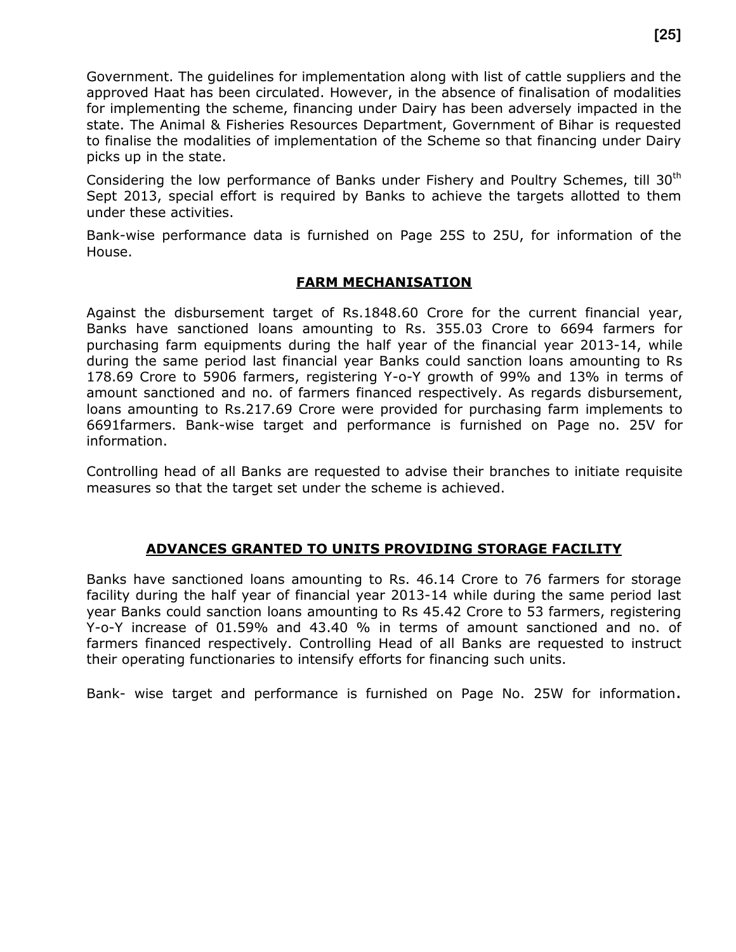Government. The guidelines for implementation along with list of cattle suppliers and the approved Haat has been circulated. However, in the absence of finalisation of modalities for implementing the scheme, financing under Dairy has been adversely impacted in the state. The Animal & Fisheries Resources Department, Government of Bihar is requested to finalise the modalities of implementation of the Scheme so that financing under Dairy picks up in the state.

Considering the low performance of Banks under Fishery and Poultry Schemes, till 30<sup>th</sup> Sept 2013, special effort is required by Banks to achieve the targets allotted to them under these activities.

Bank-wise performance data is furnished on Page 25S to 25U, for information of the House.

#### **FARM MECHANISATION**

Against the disbursement target of Rs.1848.60 Crore for the current financial year, Banks have sanctioned loans amounting to Rs. 355.03 Crore to 6694 farmers for purchasing farm equipments during the half year of the financial year 2013-14, while during the same period last financial year Banks could sanction loans amounting to Rs 178.69 Crore to 5906 farmers, registering Y-o-Y growth of 99% and 13% in terms of amount sanctioned and no. of farmers financed respectively. As regards disbursement, loans amounting to Rs.217.69 Crore were provided for purchasing farm implements to 6691farmers. Bank-wise target and performance is furnished on Page no. 25V for information.

Controlling head of all Banks are requested to advise their branches to initiate requisite measures so that the target set under the scheme is achieved.

## **ADVANCES GRANTED TO UNITS PROVIDING STORAGE FACILITY**

Banks have sanctioned loans amounting to Rs. 46.14 Crore to 76 farmers for storage facility during the half year of financial year 2013-14 while during the same period last year Banks could sanction loans amounting to Rs 45.42 Crore to 53 farmers, registering Y-o-Y increase of 01.59% and 43.40 % in terms of amount sanctioned and no. of farmers financed respectively. Controlling Head of all Banks are requested to instruct their operating functionaries to intensify efforts for financing such units.

Bank- wise target and performance is furnished on Page No. 25W for information.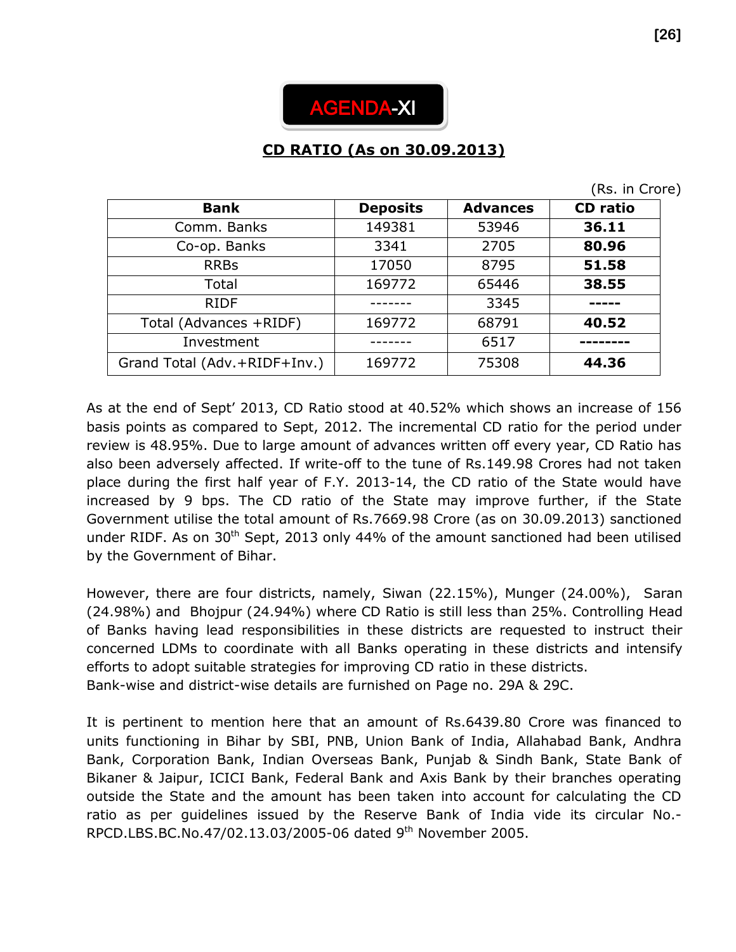

# **CD RATIO (As on 30.09.2013)**

(Rs. in Crore)

| <b>Bank</b>                  | <b>Deposits</b> | <b>Advances</b> | <b>CD</b> ratio |
|------------------------------|-----------------|-----------------|-----------------|
| Comm. Banks                  | 149381          | 53946           | 36.11           |
| Co-op. Banks                 | 3341            | 2705            | 80.96           |
| <b>RRBs</b>                  | 17050           | 8795            | 51.58           |
| Total                        | 169772          | 65446           | 38.55           |
| <b>RIDF</b>                  |                 | 3345            |                 |
| Total (Advances +RIDF)       | 169772          | 68791           | 40.52           |
| Investment                   |                 | 6517            |                 |
| Grand Total (Adv.+RIDF+Inv.) | 169772          | 75308           | 44.36           |

As at the end of Sept' 2013, CD Ratio stood at 40.52% which shows an increase of 156 basis points as compared to Sept, 2012. The incremental CD ratio for the period under review is 48.95%. Due to large amount of advances written off every year, CD Ratio has also been adversely affected. If write-off to the tune of Rs.149.98 Crores had not taken place during the first half year of F.Y. 2013-14, the CD ratio of the State would have increased by 9 bps. The CD ratio of the State may improve further, if the State Government utilise the total amount of Rs.7669.98 Crore (as on 30.09.2013) sanctioned under RIDF. As on  $30<sup>th</sup>$  Sept, 2013 only 44% of the amount sanctioned had been utilised by the Government of Bihar.

However, there are four districts, namely, Siwan (22.15%), Munger (24.00%), Saran (24.98%) and Bhojpur (24.94%) where CD Ratio is still less than 25%. Controlling Head of Banks having lead responsibilities in these districts are requested to instruct their concerned LDMs to coordinate with all Banks operating in these districts and intensify efforts to adopt suitable strategies for improving CD ratio in these districts. Bank-wise and district-wise details are furnished on Page no. 29A & 29C.

It is pertinent to mention here that an amount of Rs.6439.80 Crore was financed to units functioning in Bihar by SBI, PNB, Union Bank of India, Allahabad Bank, Andhra Bank, Corporation Bank, Indian Overseas Bank, Punjab & Sindh Bank, State Bank of Bikaner & Jaipur, ICICI Bank, Federal Bank and Axis Bank by their branches operating outside the State and the amount has been taken into account for calculating the CD ratio as per guidelines issued by the Reserve Bank of India vide its circular No.- RPCD.LBS.BC.No.47/02.13.03/2005-06 dated 9th November 2005.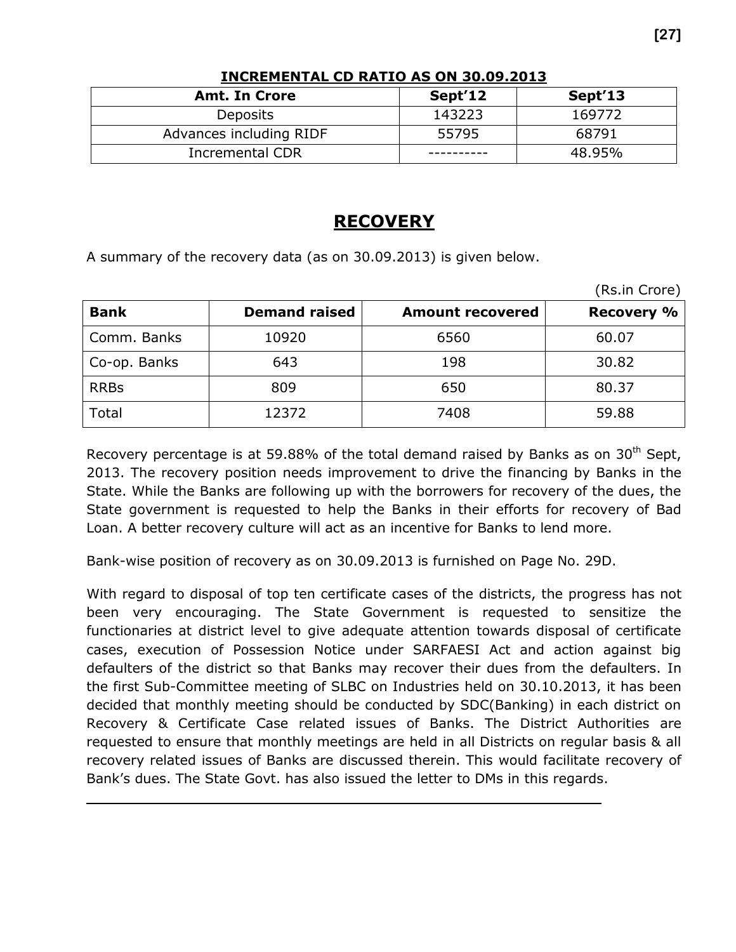| <b>Amt. In Crore</b>    | Sept'12 | Sept'13 |
|-------------------------|---------|---------|
| Deposits                | 143223  | 169772  |
| Advances including RIDF | 55795   | 68791   |
| <b>Incremental CDR</b>  |         | 48.95%  |

#### **INCREMENTAL CD RATIO AS ON 30.09.2013**

## **RECOVERY**

A summary of the recovery data (as on 30.09.2013) is given below.

|              |                      |                         | (Rs.in Crore)     |
|--------------|----------------------|-------------------------|-------------------|
| <b>Bank</b>  | <b>Demand raised</b> | <b>Amount recovered</b> | <b>Recovery %</b> |
| Comm. Banks  | 10920                | 6560                    | 60.07             |
| Co-op. Banks | 643                  | 198                     | 30.82             |
| <b>RRBs</b>  | 809                  | 650                     | 80.37             |
| Total        | 12372                | 7408                    | 59.88             |

Recovery percentage is at 59.88% of the total demand raised by Banks as on  $30<sup>th</sup>$  Sept, 2013. The recovery position needs improvement to drive the financing by Banks in the State. While the Banks are following up with the borrowers for recovery of the dues, the State government is requested to help the Banks in their efforts for recovery of Bad Loan. A better recovery culture will act as an incentive for Banks to lend more.

Bank-wise position of recovery as on 30.09.2013 is furnished on Page No. 29D.

With regard to disposal of top ten certificate cases of the districts, the progress has not been very encouraging. The State Government is requested to sensitize the functionaries at district level to give adequate attention towards disposal of certificate cases, execution of Possession Notice under SARFAESI Act and action against big defaulters of the district so that Banks may recover their dues from the defaulters. In the first Sub-Committee meeting of SLBC on Industries held on 30.10.2013, it has been decided that monthly meeting should be conducted by SDC(Banking) in each district on Recovery & Certificate Case related issues of Banks. The District Authorities are requested to ensure that monthly meetings are held in all Districts on regular basis & all recovery related issues of Banks are discussed therein. This would facilitate recovery of Bank's dues. The State Govt. has also issued the letter to DMs in this regards.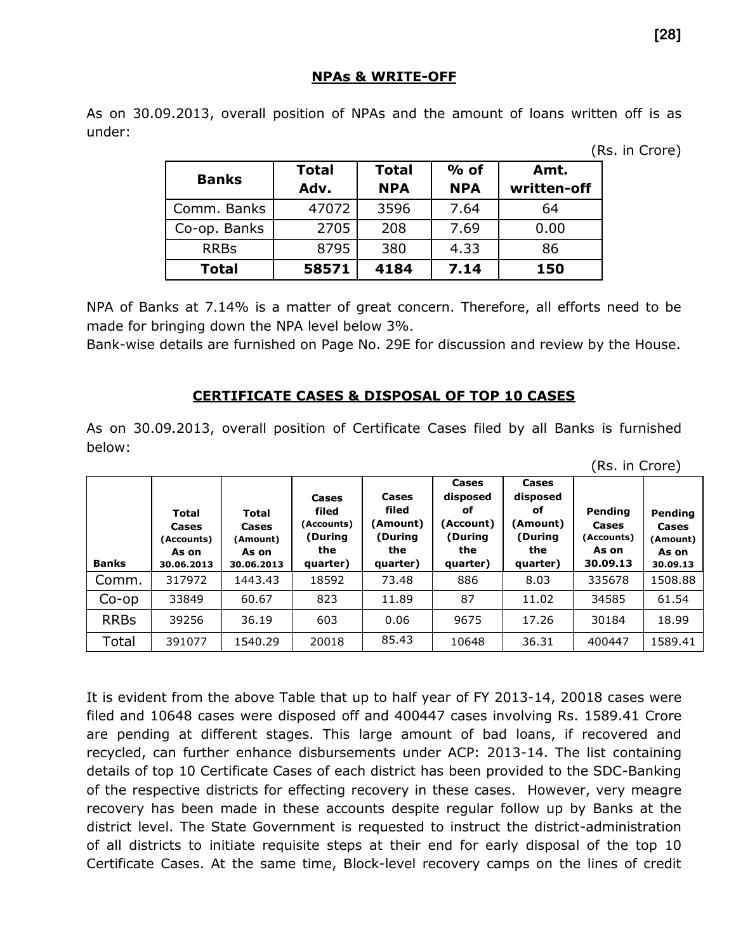#### **NPAs & WRITE-OFF**

As on 30.09.2013, overall position of NPAs and the amount of loans written off is as under:

(Rs. in Crore)

| <b>Banks</b> | <b>Total</b><br>Adv. | <b>Total</b><br><b>NPA</b> | $%$ of<br><b>NPA</b> | Amt.<br>written-off |
|--------------|----------------------|----------------------------|----------------------|---------------------|
| Comm. Banks  | 47072                | 3596                       | 7.64                 | 64                  |
| Co-op. Banks | 2705                 | 208                        | 7.69                 | 0.00                |
| <b>RRBs</b>  | 8795                 | 380                        | 4.33                 | 86                  |
| <b>Total</b> | 58571                | 4184                       | 7.14                 | 150                 |

NPA of Banks at 7.14% is a matter of great concern. Therefore, all efforts need to be made for bringing down the NPA level below 3%.

Bank-wise details are furnished on Page No. 29E for discussion and review by the House.

## **CERTIFICATE CASES & DISPOSAL OF TOP 10 CASES**

As on 30.09.2013, overall position of Certificate Cases filed by all Banks is furnished below:

| <b>Banks</b> | <b>Total</b><br>Cases<br>(Accounts)<br>As on<br>30.06.2013 | <b>Total</b><br>Cases<br>(Amount)<br>As on<br>30.06.2013 | Cases<br>filed<br>(Accounts)<br>(During<br>the<br>quarter) | Cases<br>filed<br>(Amount)<br>During)<br>the<br>quarter) | Cases<br>disposed<br>оf<br>(Account)<br>(During<br>the<br>quarter) | Cases<br>disposed<br>оf<br>(Amount)<br>(During<br>the<br>quarter) | Pending<br>Cases<br>(Accounts)<br>As on<br>30.09.13 | Pending<br>Cases<br>(Amount)<br>As on<br>30.09.13 |
|--------------|------------------------------------------------------------|----------------------------------------------------------|------------------------------------------------------------|----------------------------------------------------------|--------------------------------------------------------------------|-------------------------------------------------------------------|-----------------------------------------------------|---------------------------------------------------|
| Comm.        | 317972                                                     | 1443.43                                                  | 18592                                                      | 73.48                                                    | 886                                                                | 8.03                                                              | 335678                                              | 1508.88                                           |
| $Co$ -op     | 33849                                                      | 60.67                                                    | 823                                                        | 11.89                                                    | 87                                                                 | 11.02                                                             | 34585                                               | 61.54                                             |
| <b>RRBs</b>  | 39256                                                      | 36.19                                                    | 603                                                        | 0.06                                                     | 9675                                                               | 17.26                                                             | 30184                                               | 18.99                                             |
| Total        | 391077                                                     | 1540.29                                                  | 20018                                                      | 85.43                                                    | 10648                                                              | 36.31                                                             | 400447                                              | 1589.41                                           |

It is evident from the above Table that up to half year of FY 2013-14, 20018 cases were filed and 10648 cases were disposed off and 400447 cases involving Rs. 1589.41 Crore are pending at different stages. This large amount of bad loans, if recovered and recycled, can further enhance disbursements under ACP: 2013-14. The list containing details of top 10 Certificate Cases of each district has been provided to the SDC-Banking of the respective districts for effecting recovery in these cases. However, very meagre recovery has been made in these accounts despite regular follow up by Banks at the district level. The State Government is requested to instruct the district-administration of all districts to initiate requisite steps at their end for early disposal of the top 10 Certificate Cases. At the same time, Block-level recovery camps on the lines of credit

(Rs. in Crore)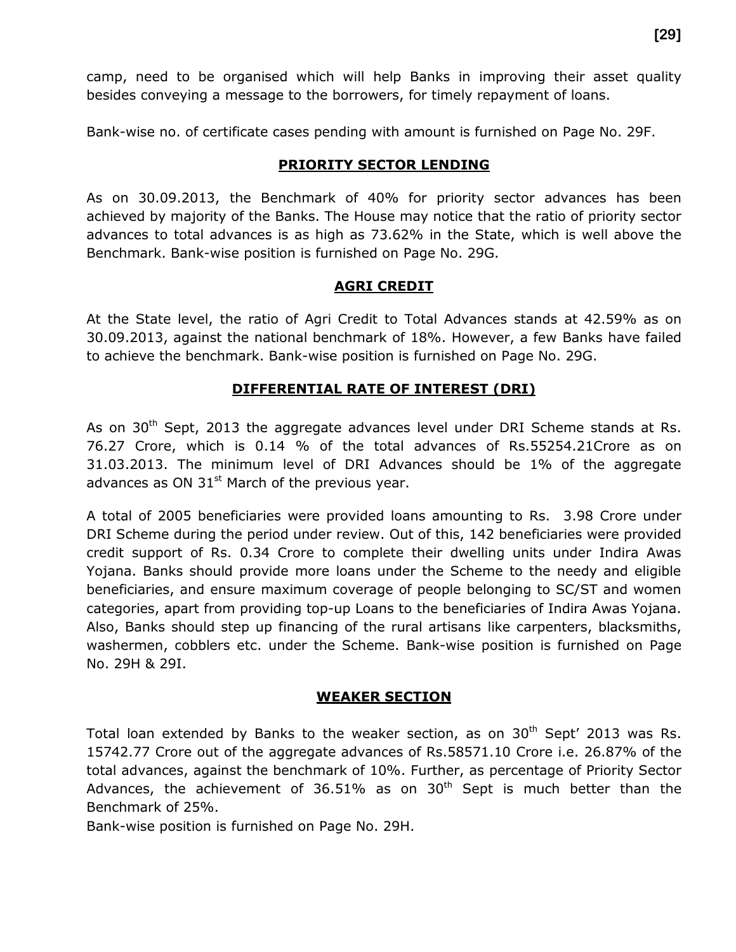camp, need to be organised which will help Banks in improving their asset quality besides conveying a message to the borrowers, for timely repayment of loans.

Bank-wise no. of certificate cases pending with amount is furnished on Page No. 29F.

#### **PRIORITY SECTOR LENDING**

As on 30.09.2013, the Benchmark of 40% for priority sector advances has been achieved by majority of the Banks. The House may notice that the ratio of priority sector advances to total advances is as high as 73.62% in the State, which is well above the Benchmark. Bank-wise position is furnished on Page No. 29G.

#### **AGRI CREDIT**

At the State level, the ratio of Agri Credit to Total Advances stands at 42.59% as on 30.09.2013, against the national benchmark of 18%. However, a few Banks have failed to achieve the benchmark. Bank-wise position is furnished on Page No. 29G.

## **DIFFERENTIAL RATE OF INTEREST (DRI)**

As on  $30<sup>th</sup>$  Sept, 2013 the aggregate advances level under DRI Scheme stands at Rs. 76.27 Crore, which is 0.14 % of the total advances of Rs.55254.21Crore as on 31.03.2013. The minimum level of DRI Advances should be 1% of the aggregate advances as ON  $31<sup>st</sup>$  March of the previous year.

A total of 2005 beneficiaries were provided loans amounting to Rs. 3.98 Crore under DRI Scheme during the period under review. Out of this, 142 beneficiaries were provided credit support of Rs. 0.34 Crore to complete their dwelling units under Indira Awas Yojana. Banks should provide more loans under the Scheme to the needy and eligible beneficiaries, and ensure maximum coverage of people belonging to SC/ST and women categories, apart from providing top-up Loans to the beneficiaries of Indira Awas Yojana. Also, Banks should step up financing of the rural artisans like carpenters, blacksmiths, washermen, cobblers etc. under the Scheme. Bank-wise position is furnished on Page No. 29H & 29I.

#### **WEAKER SECTION**

Total loan extended by Banks to the weaker section, as on  $30<sup>th</sup>$  Sept' 2013 was Rs. 15742.77 Crore out of the aggregate advances of Rs.58571.10 Crore i.e. 26.87% of the total advances, against the benchmark of 10%. Further, as percentage of Priority Sector Advances, the achievement of 36.51% as on  $30<sup>th</sup>$  Sept is much better than the Benchmark of 25%.

Bank-wise position is furnished on Page No. 29H.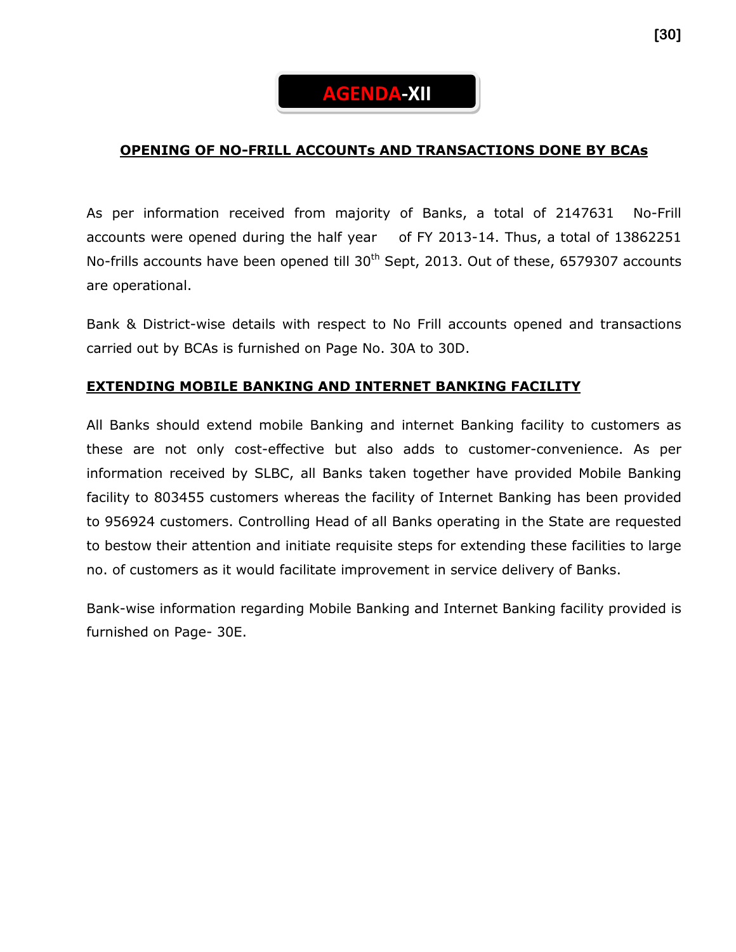# **AGENDA-XII**

## **OPENING OF NO-FRILL ACCOUNTs AND TRANSACTIONS DONE BY BCAs**

As per information received from majority of Banks, a total of 2147631 No-Frill accounts were opened during the half year of FY 2013-14. Thus, a total of 13862251 No-frills accounts have been opened till 30<sup>th</sup> Sept, 2013. Out of these, 6579307 accounts are operational.

Bank & District-wise details with respect to No Frill accounts opened and transactions carried out by BCAs is furnished on Page No. 30A to 30D.

## **EXTENDING MOBILE BANKING AND INTERNET BANKING FACILITY**

All Banks should extend mobile Banking and internet Banking facility to customers as these are not only cost-effective but also adds to customer-convenience. As per information received by SLBC, all Banks taken together have provided Mobile Banking facility to 803455 customers whereas the facility of Internet Banking has been provided to 956924 customers. Controlling Head of all Banks operating in the State are requested to bestow their attention and initiate requisite steps for extending these facilities to large no. of customers as it would facilitate improvement in service delivery of Banks.

Bank-wise information regarding Mobile Banking and Internet Banking facility provided is furnished on Page- 30E.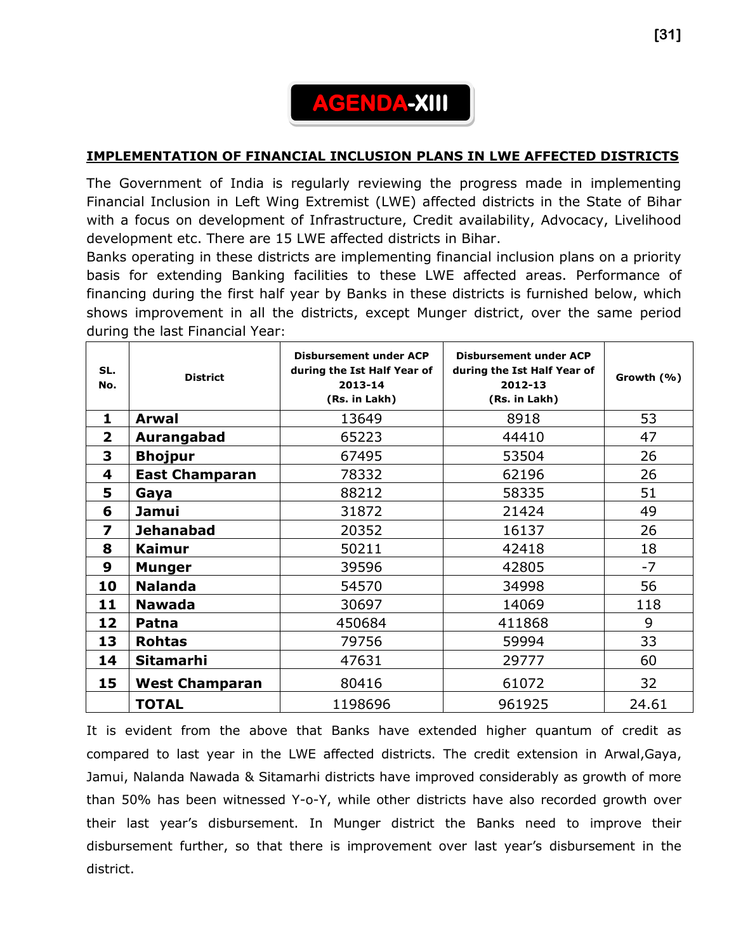# **AGENDA-XIII**

## **IMPLEMENTATION OF FINANCIAL INCLUSION PLANS IN LWE AFFECTED DISTRICTS**

The Government of India is regularly reviewing the progress made in implementing Financial Inclusion in Left Wing Extremist (LWE) affected districts in the State of Bihar with a focus on development of Infrastructure, Credit availability, Advocacy, Livelihood development etc. There are 15 LWE affected districts in Bihar.

Banks operating in these districts are implementing financial inclusion plans on a priority basis for extending Banking facilities to these LWE affected areas. Performance of financing during the first half year by Banks in these districts is furnished below, which shows improvement in all the districts, except Munger district, over the same period during the last Financial Year:

| SL.<br>No.     | <b>District</b>           | <b>Disbursement under ACP</b><br>during the Ist Half Year of<br>2013-14<br>(Rs. in Lakh) | <b>Disbursement under ACP</b><br>during the Ist Half Year of<br>2012-13<br>(Rs. in Lakh) | Growth (%) |
|----------------|---------------------------|------------------------------------------------------------------------------------------|------------------------------------------------------------------------------------------|------------|
| 1              | <b>Arwal</b>              | 13649                                                                                    | 8918                                                                                     | 53         |
| $\overline{2}$ | Aurangabad                | 65223                                                                                    | 44410                                                                                    | 47         |
| 3              | <b>Bhojpur</b>            | 67495                                                                                    | 53504                                                                                    | 26         |
| 4              | <b>East Champaran</b>     | 78332                                                                                    | 62196                                                                                    | 26         |
| 5              | Gaya                      | 88212                                                                                    | 58335                                                                                    | 51         |
| 6              | <b>Jamui</b>              | 31872                                                                                    | 21424                                                                                    | 49         |
| 7              | <b>Jehanabad</b><br>20352 |                                                                                          | 16137                                                                                    | 26         |
| 8              | <b>Kaimur</b>             | 50211                                                                                    | 42418                                                                                    | 18         |
| 9              | <b>Munger</b>             | 39596                                                                                    | 42805                                                                                    |            |
| 10             | <b>Nalanda</b>            | 54570                                                                                    | 34998                                                                                    | 56         |
| 11             | <b>Nawada</b>             | 30697                                                                                    | 14069                                                                                    | 118        |
| 12             | Patna                     | 450684<br>411868                                                                         |                                                                                          | 9          |
| 13             | <b>Rohtas</b>             | 79756                                                                                    | 59994                                                                                    | 33         |
| 14             | <b>Sitamarhi</b>          | 47631                                                                                    | 29777                                                                                    | 60         |
| 15             | <b>West Champaran</b>     | 80416                                                                                    | 61072                                                                                    | 32         |
|                | <b>TOTAL</b>              | 1198696                                                                                  | 961925                                                                                   | 24.61      |

It is evident from the above that Banks have extended higher quantum of credit as compared to last year in the LWE affected districts. The credit extension in Arwal,Gaya, Jamui, Nalanda Nawada & Sitamarhi districts have improved considerably as growth of more than 50% has been witnessed Y-o-Y, while other districts have also recorded growth over their last year's disbursement. In Munger district the Banks need to improve their disbursement further, so that there is improvement over last year's disbursement in the district.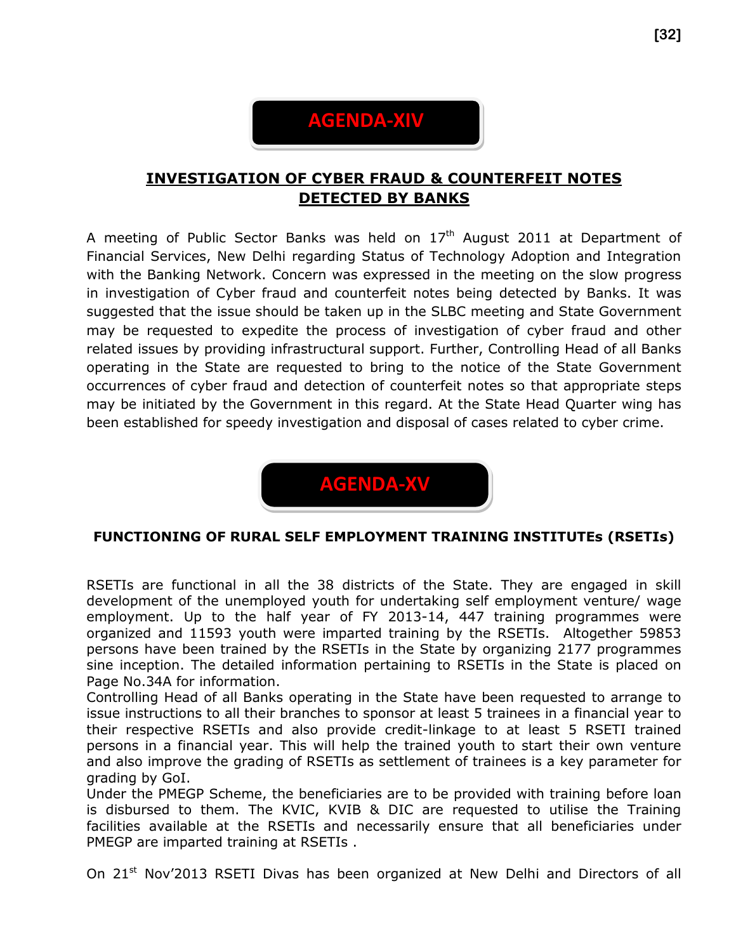# **AGENDA-XIV**

## **INVESTIGATION OF CYBER FRAUD & COUNTERFEIT NOTES DETECTED BY BANKS**

A meeting of Public Sector Banks was held on  $17<sup>th</sup>$  August 2011 at Department of Financial Services, New Delhi regarding Status of Technology Adoption and Integration with the Banking Network. Concern was expressed in the meeting on the slow progress in investigation of Cyber fraud and counterfeit notes being detected by Banks. It was suggested that the issue should be taken up in the SLBC meeting and State Government may be requested to expedite the process of investigation of cyber fraud and other related issues by providing infrastructural support. Further, Controlling Head of all Banks operating in the State are requested to bring to the notice of the State Government occurrences of cyber fraud and detection of counterfeit notes so that appropriate steps may be initiated by the Government in this regard. At the State Head Quarter wing has been established for speedy investigation and disposal of cases related to cyber crime.



## **FUNCTIONING OF RURAL SELF EMPLOYMENT TRAINING INSTITUTEs (RSETIs)**

RSETIs are functional in all the 38 districts of the State. They are engaged in skill development of the unemployed youth for undertaking self employment venture/ wage employment. Up to the half year of FY 2013-14, 447 training programmes were organized and 11593 youth were imparted training by the RSETIs. Altogether 59853 persons have been trained by the RSETIs in the State by organizing 2177 programmes sine inception. The detailed information pertaining to RSETIs in the State is placed on Page No.34A for information.

Controlling Head of all Banks operating in the State have been requested to arrange to issue instructions to all their branches to sponsor at least 5 trainees in a financial year to their respective RSETIs and also provide credit-linkage to at least 5 RSETI trained persons in a financial year. This will help the trained youth to start their own venture and also improve the grading of RSETIs as settlement of trainees is a key parameter for grading by GoI.

Under the PMEGP Scheme, the beneficiaries are to be provided with training before loan is disbursed to them. The KVIC, KVIB & DIC are requested to utilise the Training facilities available at the RSETIs and necessarily ensure that all beneficiaries under PMEGP are imparted training at RSETIs .

On 21<sup>st</sup> Nov'2013 RSETI Divas has been organized at New Delhi and Directors of all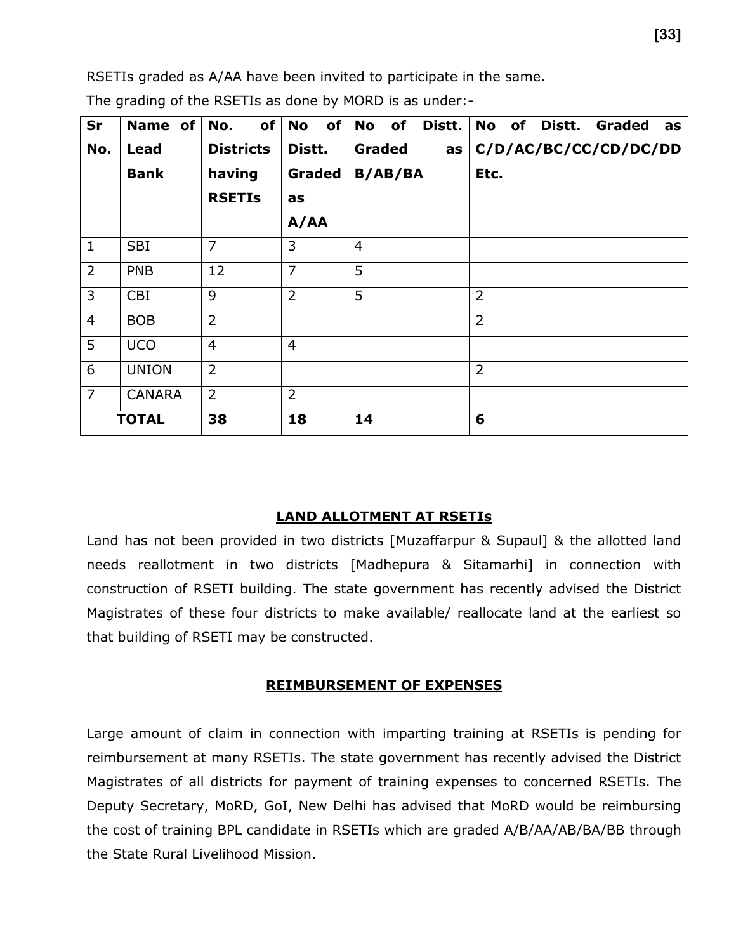RSETIs graded as A/AA have been invited to participate in the same.

| Sr             | Name of       | of<br>No.        | of <sub>l</sub><br><b>No</b> | <b>No</b><br>of<br>Distt. | No of<br>Distt.<br>Graded<br>as |
|----------------|---------------|------------------|------------------------------|---------------------------|---------------------------------|
| No.            | <b>Lead</b>   | <b>Districts</b> | Distt.                       | <b>Graded</b><br>as       | C/D/AC/BC/CC/CD/DC/DD           |
|                | <b>Bank</b>   | having           | <b>Graded</b>                | <b>B/AB/BA</b>            | Etc.                            |
|                |               | <b>RSETIs</b>    | as                           |                           |                                 |
|                |               |                  | A/AA                         |                           |                                 |
| $\mathbf{1}$   | <b>SBI</b>    | $\overline{7}$   | 3                            | $\overline{4}$            |                                 |
| $\overline{2}$ | <b>PNB</b>    | 12               | $\overline{7}$               | 5                         |                                 |
| 3              | <b>CBI</b>    | 9                | $\overline{2}$               | 5                         | $\overline{2}$                  |
| $\overline{4}$ | <b>BOB</b>    | $\overline{2}$   |                              |                           | $\overline{2}$                  |
| 5              | <b>UCO</b>    | $\overline{4}$   | $\overline{4}$               |                           |                                 |
| 6              | <b>UNION</b>  | $\overline{2}$   |                              |                           | $\overline{2}$                  |
| $\overline{7}$ | <b>CANARA</b> | $\overline{2}$   | $\overline{2}$               |                           |                                 |
|                | <b>TOTAL</b>  | 38               | 18                           | 14                        | 6                               |

The grading of the RSETIs as done by MORD is as under:-

#### **LAND ALLOTMENT AT RSETIs**

Land has not been provided in two districts [Muzaffarpur & Supaul] & the allotted land needs reallotment in two districts [Madhepura & Sitamarhi] in connection with construction of RSETI building. The state government has recently advised the District Magistrates of these four districts to make available/ reallocate land at the earliest so that building of RSETI may be constructed.

#### **REIMBURSEMENT OF EXPENSES**

Large amount of claim in connection with imparting training at RSETIs is pending for reimbursement at many RSETIs. The state government has recently advised the District Magistrates of all districts for payment of training expenses to concerned RSETIs. The Deputy Secretary, MoRD, GoI, New Delhi has advised that MoRD would be reimbursing the cost of training BPL candidate in RSETIs which are graded A/B/AA/AB/BA/BB through the State Rural Livelihood Mission.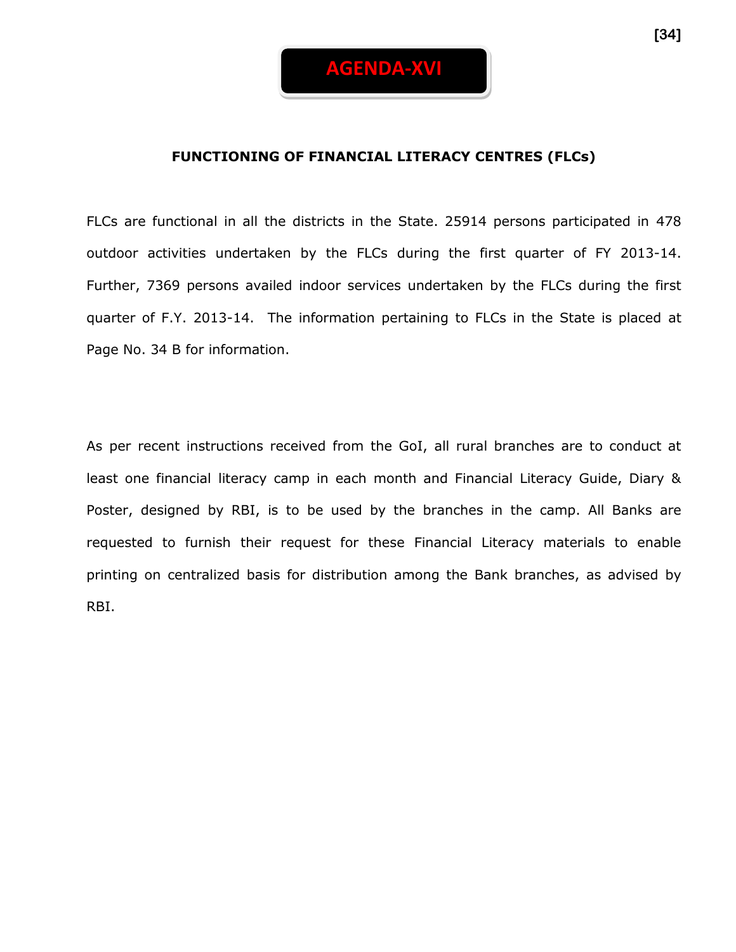

#### **FUNCTIONING OF FINANCIAL LITERACY CENTRES (FLCs)**

FLCs are functional in all the districts in the State. 25914 persons participated in 478 outdoor activities undertaken by the FLCs during the first quarter of FY 2013-14. Further, 7369 persons availed indoor services undertaken by the FLCs during the first quarter of F.Y. 2013-14. The information pertaining to FLCs in the State is placed at Page No. 34 B for information.

As per recent instructions received from the GoI, all rural branches are to conduct at least one financial literacy camp in each month and Financial Literacy Guide, Diary & Poster, designed by RBI, is to be used by the branches in the camp. All Banks are requested to furnish their request for these Financial Literacy materials to enable printing on centralized basis for distribution among the Bank branches, as advised by RBI.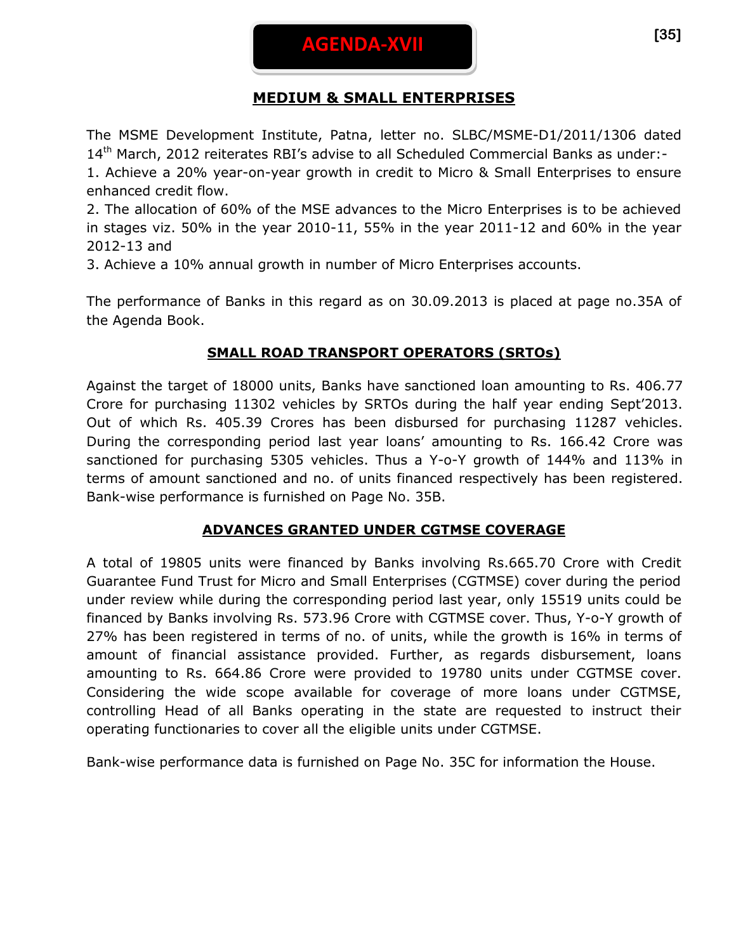## **MEDIUM & SMALL ENTERPRISES**

The MSME Development Institute, Patna, letter no. SLBC/MSME-D1/2011/1306 dated 14th March, 2012 reiterates RBI's advise to all Scheduled Commercial Banks as under:- 1. Achieve a 20% year-on-year growth in credit to Micro & Small Enterprises to ensure enhanced credit flow.

2. The allocation of 60% of the MSE advances to the Micro Enterprises is to be achieved in stages viz. 50% in the year 2010-11, 55% in the year 2011-12 and 60% in the year 2012-13 and

3. Achieve a 10% annual growth in number of Micro Enterprises accounts.

The performance of Banks in this regard as on 30.09.2013 is placed at page no.35A of the Agenda Book.

## **SMALL ROAD TRANSPORT OPERATORS (SRTOs)**

Against the target of 18000 units, Banks have sanctioned loan amounting to Rs. 406.77 Crore for purchasing 11302 vehicles by SRTOs during the half year ending Sept'2013. Out of which Rs. 405.39 Crores has been disbursed for purchasing 11287 vehicles. During the corresponding period last year loans' amounting to Rs. 166.42 Crore was sanctioned for purchasing 5305 vehicles. Thus a Y-o-Y growth of 144% and 113% in terms of amount sanctioned and no. of units financed respectively has been registered. Bank-wise performance is furnished on Page No. 35B.

## **ADVANCES GRANTED UNDER CGTMSE COVERAGE**

A total of 19805 units were financed by Banks involving Rs.665.70 Crore with Credit Guarantee Fund Trust for Micro and Small Enterprises (CGTMSE) cover during the period under review while during the corresponding period last year, only 15519 units could be financed by Banks involving Rs. 573.96 Crore with CGTMSE cover. Thus, Y-o-Y growth of 27% has been registered in terms of no. of units, while the growth is 16% in terms of amount of financial assistance provided. Further, as regards disbursement, loans amounting to Rs. 664.86 Crore were provided to 19780 units under CGTMSE cover. Considering the wide scope available for coverage of more loans under CGTMSE, controlling Head of all Banks operating in the state are requested to instruct their operating functionaries to cover all the eligible units under CGTMSE.

Bank-wise performance data is furnished on Page No. 35C for information the House.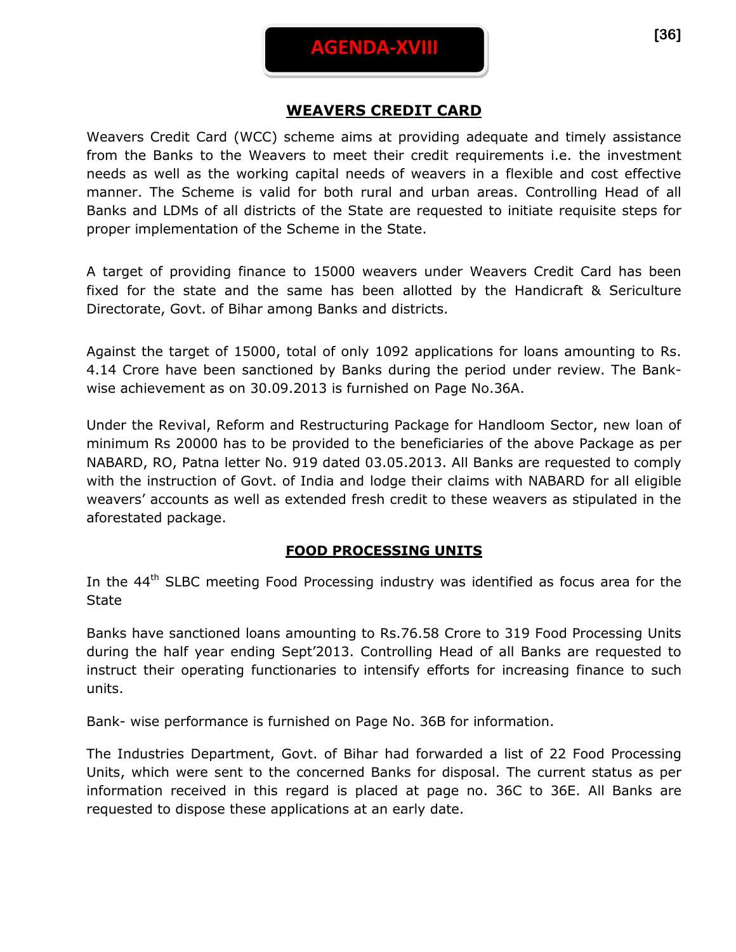## **WEAVERS CREDIT CARD**

Weavers Credit Card (WCC) scheme aims at providing adequate and timely assistance from the Banks to the Weavers to meet their credit requirements i.e. the investment needs as well as the working capital needs of weavers in a flexible and cost effective manner. The Scheme is valid for both rural and urban areas. Controlling Head of all Banks and LDMs of all districts of the State are requested to initiate requisite steps for proper implementation of the Scheme in the State.

A target of providing finance to 15000 weavers under Weavers Credit Card has been fixed for the state and the same has been allotted by the Handicraft & Sericulture Directorate, Govt. of Bihar among Banks and districts.

Against the target of 15000, total of only 1092 applications for loans amounting to Rs. 4.14 Crore have been sanctioned by Banks during the period under review. The Bankwise achievement as on 30.09.2013 is furnished on Page No.36A.

Under the Revival, Reform and Restructuring Package for Handloom Sector, new loan of minimum Rs 20000 has to be provided to the beneficiaries of the above Package as per NABARD, RO, Patna letter No. 919 dated 03.05.2013. All Banks are requested to comply with the instruction of Govt. of India and lodge their claims with NABARD for all eligible weavers' accounts as well as extended fresh credit to these weavers as stipulated in the aforestated package.

## **FOOD PROCESSING UNITS**

In the  $44<sup>th</sup>$  SLBC meeting Food Processing industry was identified as focus area for the **State** 

Banks have sanctioned loans amounting to Rs.76.58 Crore to 319 Food Processing Units during the half year ending Sept'2013. Controlling Head of all Banks are requested to instruct their operating functionaries to intensify efforts for increasing finance to such units.

Bank- wise performance is furnished on Page No. 36B for information.

The Industries Department, Govt. of Bihar had forwarded a list of 22 Food Processing Units, which were sent to the concerned Banks for disposal. The current status as per information received in this regard is placed at page no. 36C to 36E. All Banks are requested to dispose these applications at an early date.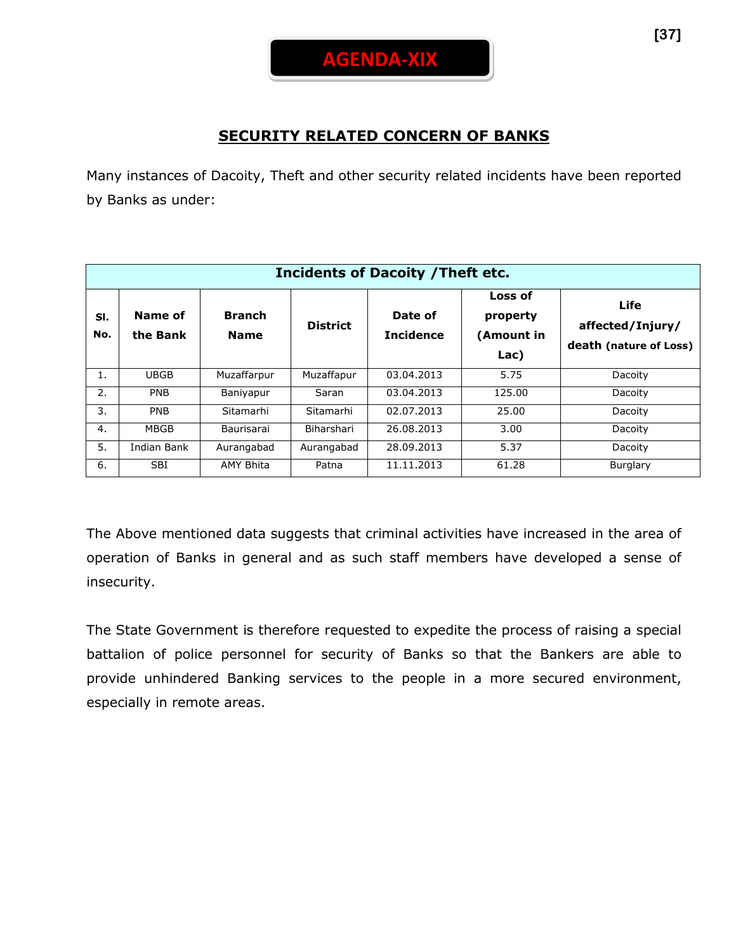

## **SECURITY RELATED CONCERN OF BANKS**

Many instances of Dacoity, Theft and other security related incidents have been reported by Banks as under:

|            | <b>Incidents of Dacoity / Theft etc.</b> |                              |                 |                             |                                           |                                                           |  |  |
|------------|------------------------------------------|------------------------------|-----------------|-----------------------------|-------------------------------------------|-----------------------------------------------------------|--|--|
| SI.<br>No. | Name of<br>the Bank                      | <b>Branch</b><br><b>Name</b> | <b>District</b> | Date of<br><b>Incidence</b> | Loss of<br>property<br>(Amount in<br>Lac) | <b>Life</b><br>affected/Injury/<br>death (nature of Loss) |  |  |
| 1.         | <b>UBGB</b>                              | Muzaffarpur                  | Muzaffapur      | 03.04.2013                  | 5.75                                      | Dacoity                                                   |  |  |
| 2.         | <b>PNB</b>                               | Baniyapur                    | Saran           | 03.04.2013                  | 125.00                                    | Dacoity                                                   |  |  |
| 3.         | <b>PNB</b>                               | Sitamarhi                    | Sitamarhi       | 02.07.2013                  | 25.00                                     | Dacoity                                                   |  |  |
| 4.         | <b>MBGB</b>                              | Baurisarai                   | Biharshari      | 26.08.2013                  | 3.00                                      | Dacoity                                                   |  |  |
| 5.         | Indian Bank                              | Aurangabad                   | Aurangabad      | 28.09.2013                  | 5.37                                      | Dacoity                                                   |  |  |
| 6.         | <b>SBI</b>                               | <b>AMY Bhita</b>             | Patna           | 11.11.2013                  | 61.28                                     | Burglary                                                  |  |  |

The Above mentioned data suggests that criminal activities have increased in the area of operation of Banks in general and as such staff members have developed a sense of insecurity.

The State Government is therefore requested to expedite the process of raising a special battalion of police personnel for security of Banks so that the Bankers are able to provide unhindered Banking services to the people in a more secured environment, especially in remote areas.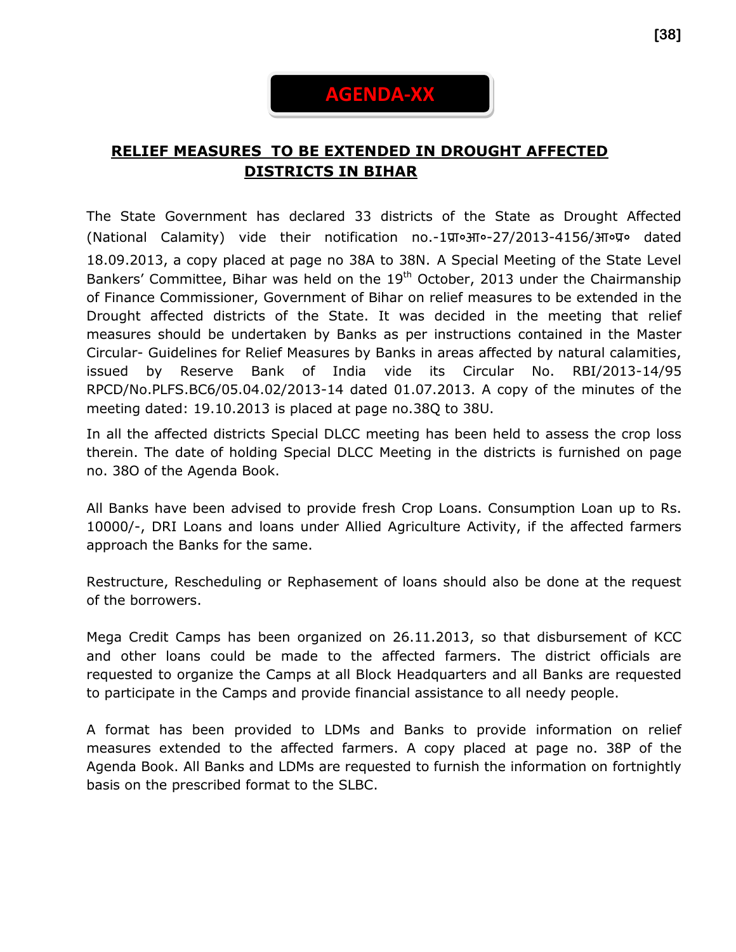# **AGENDA-XX**

## **RELIEF MEASURES TO BE EXTENDED IN DROUGHT AFFECTED DISTRICTS IN BIHAR**

The State Government has declared 33 districts of the State as Drought Affected (National Calamity) vide their notification no.-1प्रा०आ०-27/2013-4156/आ०प्र० dated 18.09.2013, a copy placed at page no 38A to 38N. A Special Meeting of the State Level Bankers' Committee, Bihar was held on the 19<sup>th</sup> October, 2013 under the Chairmanship of Finance Commissioner, Government of Bihar on relief measures to be extended in the Drought affected districts of the State. It was decided in the meeting that relief measures should be undertaken by Banks as per instructions contained in the Master Circular- Guidelines for Relief Measures by Banks in areas affected by natural calamities, issued by Reserve Bank of India vide its Circular No. RBI/2013-14/95 RPCD/No.PLFS.BC6/05.04.02/2013-14 dated 01.07.2013. A copy of the minutes of the meeting dated: 19.10.2013 is placed at page no.38Q to 38U.

In all the affected districts Special DLCC meeting has been held to assess the crop loss therein. The date of holding Special DLCC Meeting in the districts is furnished on page no. 38O of the Agenda Book.

All Banks have been advised to provide fresh Crop Loans. Consumption Loan up to Rs. 10000/-, DRI Loans and loans under Allied Agriculture Activity, if the affected farmers approach the Banks for the same.

Restructure, Rescheduling or Rephasement of loans should also be done at the request of the borrowers.

Mega Credit Camps has been organized on 26.11.2013, so that disbursement of KCC and other loans could be made to the affected farmers. The district officials are requested to organize the Camps at all Block Headquarters and all Banks are requested to participate in the Camps and provide financial assistance to all needy people.

A format has been provided to LDMs and Banks to provide information on relief measures extended to the affected farmers. A copy placed at page no. 38P of the Agenda Book. All Banks and LDMs are requested to furnish the information on fortnightly basis on the prescribed format to the SLBC.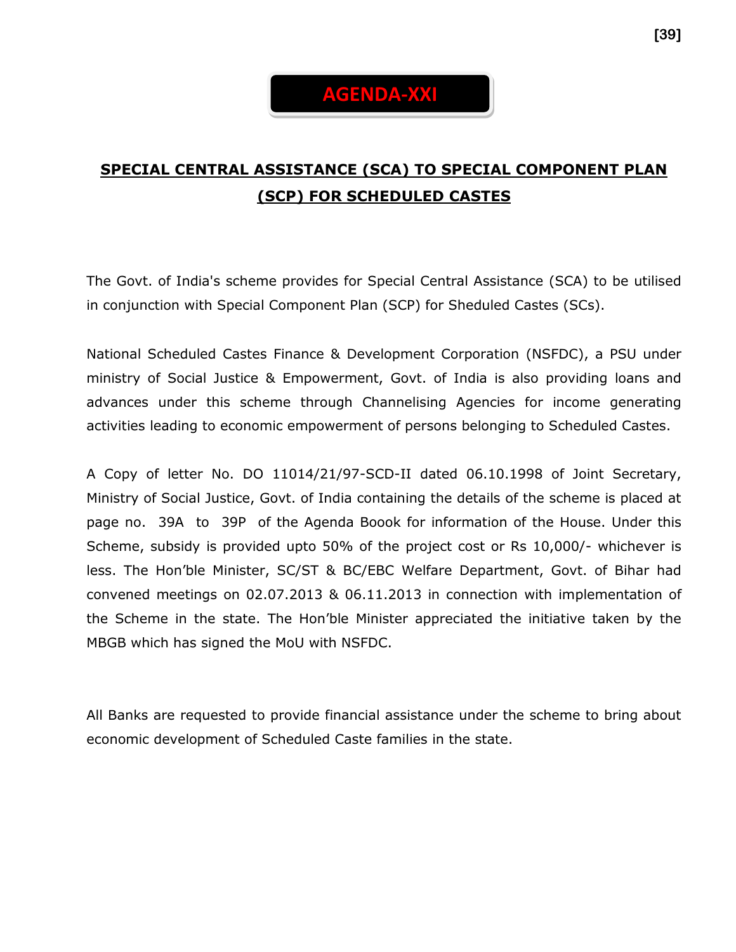# **AGENDA-XXI**

## **SPECIAL CENTRAL ASSISTANCE (SCA) TO SPECIAL COMPONENT PLAN (SCP) FOR SCHEDULED CASTES**

The Govt. of India's scheme provides for Special Central Assistance (SCA) to be utilised in conjunction with Special Component Plan (SCP) for Sheduled Castes (SCs).

National Scheduled Castes Finance & Development Corporation (NSFDC), a PSU under ministry of Social Justice & Empowerment, Govt. of India is also providing loans and advances under this scheme through Channelising Agencies for income generating activities leading to economic empowerment of persons belonging to Scheduled Castes.

A Copy of letter No. DO 11014/21/97-SCD-II dated 06.10.1998 of Joint Secretary, Ministry of Social Justice, Govt. of India containing the details of the scheme is placed at page no. 39A to 39P of the Agenda Boook for information of the House. Under this Scheme, subsidy is provided upto 50% of the project cost or Rs 10,000/- whichever is less. The Hon'ble Minister, SC/ST & BC/EBC Welfare Department, Govt. of Bihar had convened meetings on 02.07.2013 & 06.11.2013 in connection with implementation of the Scheme in the state. The Hon'ble Minister appreciated the initiative taken by the MBGB which has signed the MoU with NSFDC.

All Banks are requested to provide financial assistance under the scheme to bring about economic development of Scheduled Caste families in the state.